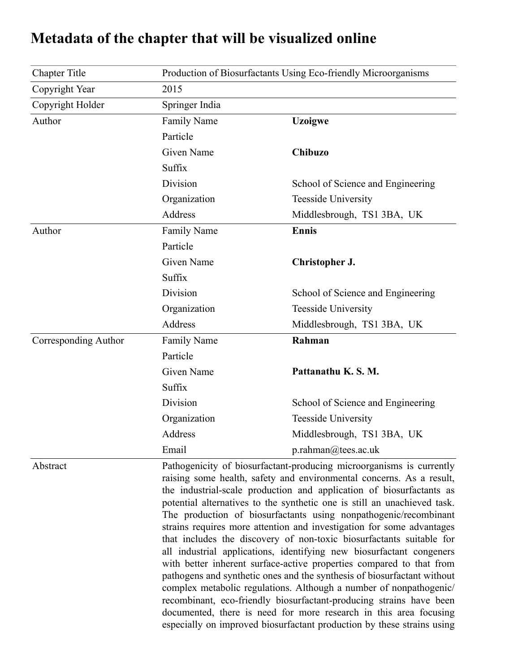## Chapter Title Production of Biosurfactants Using Eco-friendly Microorganisms Copyright Year 2015 Copyright Holder Springer India Author Family Name **Uzoigwe** Particle Given Name **Chibuzo** Suffix Division School of Science and Engineering Organization Teesside University Address Middlesbrough, TS1 3BA, UK Author Family Name **Ennis** Particle Given Name **Christopher J.** Suffix Division School of Science and Engineering Organization Teesside University Address Middlesbrough, TS1 3BA, UK Corresponding Author Family Name **Rahman** Particle Given Name **Pattanathu K. S. M.** Suffix Division School of Science and Engineering Organization Teesside University Address Middlesbrough, TS1 3BA, UK Email p.rahman@tees.ac.uk

## **Metadata of the chapter that will be visualized online**

Abstract Pathogenicity of biosurfactant-producing microorganisms is currently raising some health, safety and environmental concerns. As a result, the industrial-scale production and application of biosurfactants as potential alternatives to the synthetic one is still an unachieved task. The production of biosurfactants using nonpathogenic/recombinant strains requires more attention and investigation for some advantages that includes the discovery of non-toxic biosurfactants suitable for all industrial applications, identifying new biosurfactant congeners with better inherent surface-active properties compared to that from pathogens and synthetic ones and the synthesis of biosurfactant without complex metabolic regulations. Although a number of nonpathogenic/ recombinant, eco-friendly biosurfactant-producing strains have been documented, there is need for more research in this area focusing especially on improved biosurfactant production by these strains using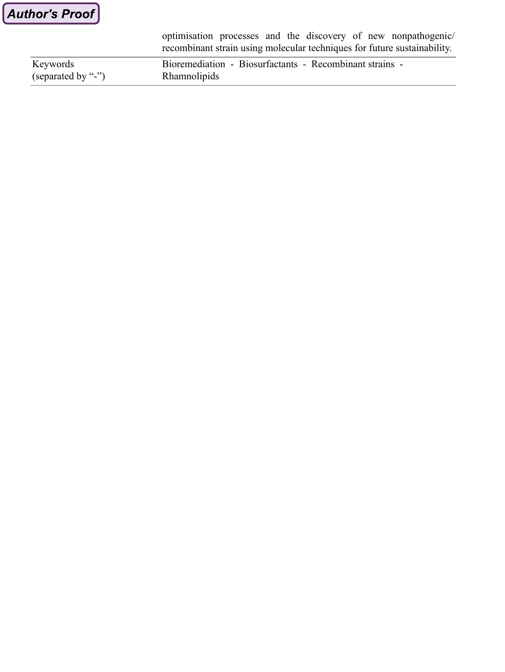optimisation processes and the discovery of new nonpathogenic/ recombinant strain using molecular techniques for future sustainability.

| Keywords           | Bioremediation - Biosurfactants - Recombinant strains - |
|--------------------|---------------------------------------------------------|
| (separated by "-") | Rhamnolipids                                            |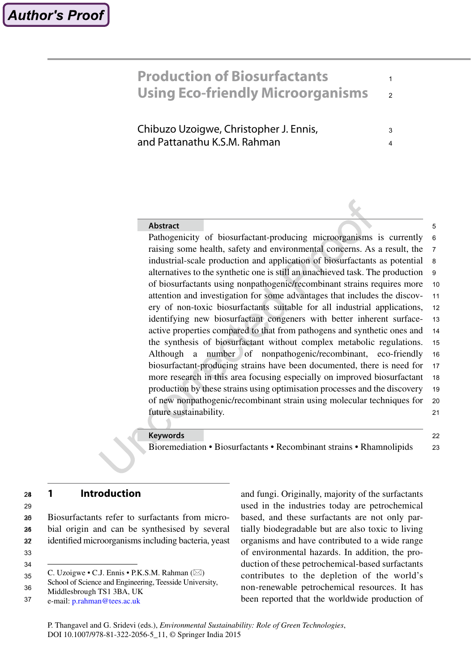### **Production of Biosurfactants Using Eco-friendly Microorganisms** 1 2

Chibuzo Uzoigwe, Christopher J. Ennis, and Pattanathu K.S.M. Rahman

### **Abstract**

Pathogenicity of biosurfactant-producing microorganisms is currently raising some health, safety and environmental concerns. As a result, the industrial-scale production and application of biosurfactants as potential alternatives to the synthetic one is still an unachieved task. The production of biosurfactants using nonpathogenic/recombinant strains requires more attention and investigation for some advantages that includes the discovery of non-toxic biosurfactants suitable for all industrial applications, identifying new biosurfactant congeners with better inherent surfaceactive properties compared to that from pathogens and synthetic ones and the synthesis of biosurfactant without complex metabolic regulations. Although a number of nonpathogenic/recombinant, eco-friendly biosurfactant-producing strains have been documented, there is need for more research in this area focusing especially on improved biosurfactant production by these strains using optimisation processes and the discovery of new nonpathogenic/recombinant strain using molecular techniques for future sustainability. 6 7 8 9 10 11 12 13 14 15 16 17 18 19 20 21

### **Keywords**

Bioremediation • Biosurfactants • Recombinant strains • Rhamnolipids

### $22$ 23

5

3 4

**1 Introduction** 24

29

Biosurfactants refer to surfactants from microbial origin and can be synthesised by several identified microorganisms including bacteria, yeast 25 26 27 206<br>2016<br>32<br>33

33 34 and fungi. Originally, majority of the surfactants used in the industries today are petrochemical based, and these surfactants are not only partially biodegradable but are also toxic to living organisms and have contributed to a wide range of environmental hazards. In addition, the production of these petrochemical-based surfactants contributes to the depletion of the world's non-renewable petrochemical resources. It has been reported that the worldwide production of

C. Uzoigwe  $\cdot$  C.J. Ennis  $\cdot$  P.K.S.M. Rahman ( $\boxtimes$ ) 35

School of Science and Engineering, Teesside University, 36

Middlesbrough TS1 3BA, UK

e-mail: [p.rahman@tees.ac.uk](mailto:p.rahman@tees.ac.uk) 37

P. Thangavel and G. Sridevi (eds.), *Environmental Sustainability: Role of Green Technologies*, DOI 10.1007/978-81-322-2056-5\_11, © Springer India 2015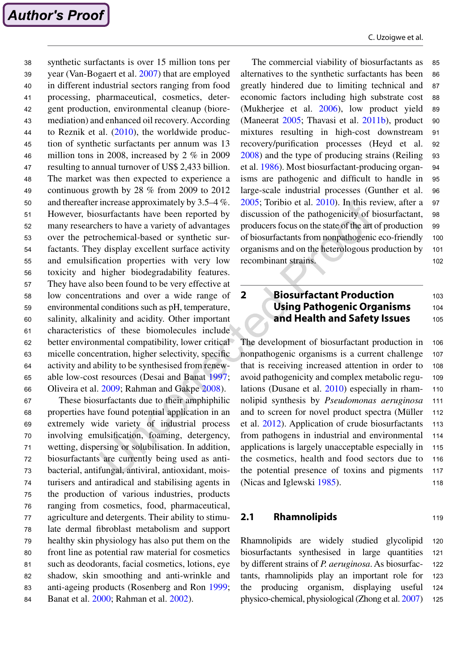synthetic surfactants is over 15 million tons per year (Van-Bogaert et al. [2007](#page-20-0)) that are employed in different industrial sectors ranging from food processing, pharmaceutical, cosmetics, detergent production, environmental cleanup (bioremediation) and enhanced oil recovery. According to Reznik et al. ([2010](#page-19-0)), the worldwide production of synthetic surfactants per annum was 13 million tons in 2008, increased by 2 % in 2009 resulting to annual turnover of US\$ 2,433 billion. The market was then expected to experience a continuous growth by 28 % from 2009 to 2012 and thereafter increase approximately by 3.5–4 %. However, biosurfactants have been reported by many researchers to have a variety of advantages over the petrochemical-based or synthetic surfactants. They display excellent surface activity and emulsification properties with very low toxicity and higher biodegradability features. They have also been found to be very effective at low concentrations and over a wide range of environmental conditions such as pH, temperature, salinity, alkalinity and acidity. Other important characteristics of these biomolecules include better environmental compatibility, lower critical micelle concentration, higher selectivity, specific activity and ability to be synthesised from renewable low-cost resources (Desai and Banat [1997](#page-16-0); Oliveira et al. [2009](#page-19-0); Rahman and Gakpe [2008\)](#page-19-0). 38 39 40 41 42 43 44 45 46 47 48 49 50 51 52 53 54 55 56 57 58 59 60 61 62 63 64 65 66

These biosurfactants due to their amphiphilic properties have found potential application in an extremely wide variety of industrial process involving emulsification, foaming, detergency, wetting, dispersing or solubilisation. In addition, biosurfactants are currently being used as antibacterial, antifungal, antiviral, antioxidant, moisturisers and antiradical and stabilising agents in the production of various industries, products ranging from cosmetics, food, pharmaceutical, agriculture and detergents. Their ability to stimulate dermal fibroblast metabolism and support healthy skin physiology has also put them on the front line as potential raw material for cosmetics such as deodorants, facial cosmetics, lotions, eye shadow, skin smoothing and anti-wrinkle and anti-ageing products (Rosenberg and Ron [1999](#page-19-0); Banat et al. [2000](#page-15-0); Rahman et al. [2002\)](#page-19-0). 67 68 69 70 71 72 73 74 75 76 77 78 79 80 81 82 83 84

The commercial viability of biosurfactants as alternatives to the synthetic surfactants has been greatly hindered due to limiting technical and economic factors including high substrate cost (Mukherjee et al. [2006\)](#page-18-0), low product yield (Maneerat [2005](#page-18-0); Thavasi et al. [2011b](#page-20-0)), product mixtures resulting in high-cost downstream recovery/purification processes (Heyd et al. [2008](#page-17-0)) and the type of producing strains (Reiling et al. [1986](#page-19-0)). Most biosurfactant-producing organisms are pathogenic and difficult to handle in large-scale industrial processes (Gunther et al. [2005](#page-16-0); Toribio et al. [2010](#page-20-0)). In this review, after a discussion of the pathogenicity of biosurfactant, producers focus on the state of the art of production of biosurfactants from nonpathogenic eco-friendly organisms and on the heterologous production by recombinant strains. 85 86 87 88 89 90 91 92 93 94 95 96 97 98 99 100 101

#### **2 Biosurfactant Production Using Pathogenic Organisms and Health and Safety Issues** 103 104 105

The development of biosurfactant production in nonpathogenic organisms is a current challenge that is receiving increased attention in order to avoid pathogenicity and complex metabolic regulations (Dusane et al. [2010](#page-16-0)) especially in rhamnolipid synthesis by *Pseudomonas aeruginosa* and to screen for novel product spectra (Müller et al. [2012](#page-18-0)). Application of crude biosurfactants from pathogens in industrial and environmental applications is largely unacceptable especially in the cosmetics, health and food sectors due to the potential presence of toxins and pigments (Nicas and Iglewski [1985](#page-18-0)). 106 107 108 109 110 111 112 113 114 115 116 117 118

## **2.1 Rhamnolipids**

Rhamnolipids are widely studied glycolipid biosurfactants synthesised in large quantities by different strains of *P. aeruginosa*. As biosurfactants, rhamnolipids play an important role for the producing organism, displaying useful physico-chemical, physiological (Zhong et al. [2007](#page-21-0)) 120 121 122 123 124 125

102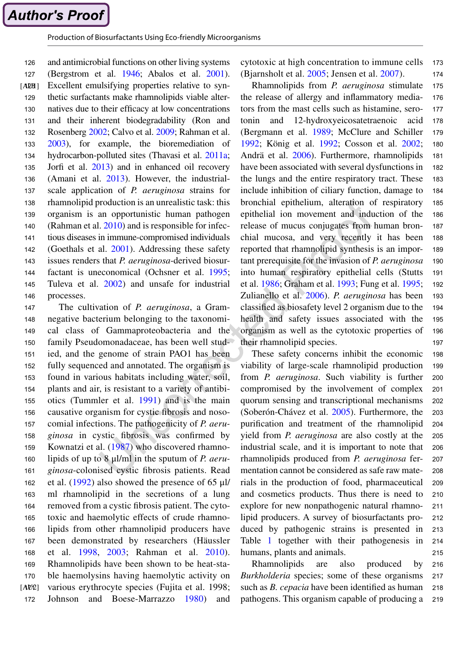Production of Biosurfactants Using Eco-friendly Microorganisms

and antimicrobial functions on other living systems (Bergstrom et al. [1946](#page-15-0); Abalos et al. [2001](#page-15-0)). Excellent emulsifying properties relative to synthetic surfactants make rhamnolipids viable alternatives due to their efficacy at low concentrations and their inherent biodegradability (Ron and Rosenberg [2002;](#page-19-0) Calvo et al. [2009](#page-15-0); Rahman et al. [2003](#page-19-0)), for example, the bioremediation of hydrocarbon-polluted sites (Thavasi et al. [2011a](#page-20-0); Jorfi et al. [2013](#page-17-0)) and in enhanced oil recovery (Amani et al. [2013](#page-15-0)). However, the industrialscale application of *P. aeruginosa* strains for rhamnolipid production is an unrealistic task: this organism is an opportunistic human pathogen (Rahman et al. [2010](#page-19-0)) and is responsible for infectious diseases in immune-compromised individuals (Goethals et al. [2001](#page-16-0)). Addressing these safety issues renders that *P. aeruginosa*-derived biosurfactant is uneconomical (Ochsner et al. [1995](#page-18-0); Tuleva et al. [2002](#page-20-0)) and unsafe for industrial processes.  $[AB8]$ 126 127 129 130 131 132 133 134 135 136 137 138 139 140 141 142 143 144 145 146

The cultivation of *P. aeruginosa*, a Gramnegative bacterium belonging to the taxonomical class of Gammaproteobacteria and the family Pseudomonadaceae, has been well studied, and the genome of strain PAO1 has been fully sequenced and annotated. The organism is found in various habitats including water, soil, plants and air, is resistant to a variety of antibiotics (Tummler et al. [1991](#page-20-0)) and is the main causative organism for cystic fibrosis and nosocomial infections. The pathogenicity of *P. aeruginosa* in cystic fibrosis was confirmed by Kownatzi et al. ([1987](#page-18-0)) who discovered rhamnolipids of up to 8 μl/ml in the sputum of *P. aeruginosa*-colonised cystic fibrosis patients. Read et al. ([1992\)](#page-19-0) also showed the presence of 65 μl/ ml rhamnolipid in the secretions of a lung removed from a cystic fibrosis patient. The cytotoxic and haemolytic effects of crude rhamnolipids from other rhamnolipid producers have been demonstrated by researchers (Häussler et al. [1998](#page-17-0), [2003](#page-17-0); Rahman et al. [2010](#page-19-0)). Rhamnolipids have been shown to be heat-stable haemolysins having haemolytic activity on various erythrocyte species (Fujita et al. 1998; Johnson and Boese-Marrazzo [1980](#page-17-0)) and  $[AUP]$ 147 148 149 150 151 152 153 154 155 156 157 158 159 160 161 162 163 164 165 166 167 168 169 170 172

cytotoxic at high concentration to immune cells (Bjarnsholt et al. [2005;](#page-15-0) Jensen et al. [2007](#page-17-0)). 173 174

Rhamnolipids from *P. aeruginosa* stimulate the release of allergy and inflammatory mediators from the mast cells such as histamine, serotonin and 12-hydroxyeicosatetraenoic acid (Bergmann et al. [1989;](#page-15-0) McClure and Schiller [1992;](#page-18-0) König et al. [1992](#page-18-0); Cosson et al. [2002;](#page-16-0) Andrä et al. [2006](#page-15-0)). Furthermore, rhamnolipids have been associated with several dysfunctions in the lungs and the entire respiratory tract. These include inhibition of ciliary function, damage to bronchial epithelium, alteration of respiratory epithelial ion movement and induction of the release of mucus conjugates from human bronchial mucosa, and very recently it has been reported that rhamnolipid synthesis is an important prerequisite for the invasion of *P. aeruginosa* into human respiratory epithelial cells (Stutts et al. [1986;](#page-20-0) Graham et al. [1993](#page-16-0); Fung et al. [1995](#page-16-0); Zulianello et al. [2006\)](#page-21-0). *P. aeruginosa* has been classified as biosafety level 2 organism due to the health and safety issues associated with the organism as well as the cytotoxic properties of their rhamnolipid species. 175 176 177 178 179 180 181 182 183 184 185 186 187 188 189 190 191 192 193 194 195 196 197

These safety concerns inhibit the economic viability of large-scale rhamnolipid production from *P. aeruginosa*. Such viability is further compromised by the involvement of complex quorum sensing and transcriptional mechanisms (Soberón-Chávez et al. [2005](#page-20-0)). Furthermore, the purification and treatment of the rhamnolipid yield from *P. aeruginosa* are also costly at the industrial scale, and it is important to note that rhamnolipids produced from *P. aeruginosa* fermentation cannot be considered as safe raw materials in the production of food, pharmaceutical and cosmetics products. Thus there is need to explore for new nonpathogenic natural rhamnolipid producers. A survey of biosurfactants produced by pathogenic strains is presented in Table [1](#page-5-0) together with their pathogenesis in humans, plants and animals. 198 199 200 201 202 203 204 205 206 207 208 209 210 211 212 213 214 215

Rhamnolipids are also produced by *Burkholderia* species; some of these organisms such as *B. cepacia* have been identified as human pathogens. This organism capable of producing a 216 217 218 219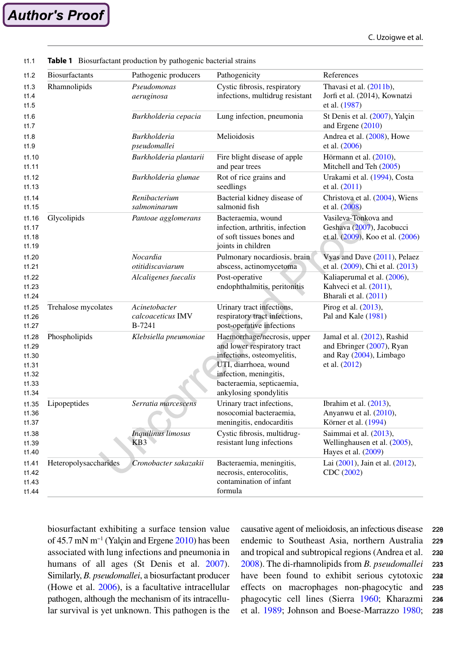<span id="page-5-0"></span>

|                       | Pathogenic producers                         | Pathogenicity                                                                                                                                                                                      | References                                                                                           |
|-----------------------|----------------------------------------------|----------------------------------------------------------------------------------------------------------------------------------------------------------------------------------------------------|------------------------------------------------------------------------------------------------------|
| Rhamnolipids          | Pseudomonas<br>aeruginosa                    | Cystic fibrosis, respiratory<br>infections, multidrug resistant                                                                                                                                    | Thavasi et al. (2011b),<br>Jorfi et al. (2014), Kownatzi<br>et al. (1987)                            |
|                       | Burkholderia cepacia                         | Lung infection, pneumonia                                                                                                                                                                          | St Denis et al. (2007), Yalçin<br>and Ergene (2010)                                                  |
|                       | <b>Burkholderia</b><br>pseudomallei          | Melioidosis                                                                                                                                                                                        | Andrea et al. (2008), Howe<br>et al. (2006)                                                          |
|                       | Burkholderia plantarii                       | Fire blight disease of apple<br>and pear trees                                                                                                                                                     | Hörmann et al. (2010),<br>Mitchell and Teh (2005)                                                    |
|                       | Burkholderia glumae                          | Rot of rice grains and<br>seedlings                                                                                                                                                                | Urakami et al. (1994), Costa<br>et al. $(2011)$                                                      |
|                       | Renibacterium<br>salmoninarum                | Bacterial kidney disease of<br>salmonid fish                                                                                                                                                       | Christova et al. (2004), Wiens<br>et al. (2008)                                                      |
| Glycolipids           | Pantoae agglomerans                          | Bacteraemia, wound<br>infection, arthritis, infection<br>of soft tissues bones and<br>joints in children                                                                                           | Vasileva-Tonkova and<br>Geshava (2007), Jacobucci<br>et al. (2009), Koo et al. (2006)                |
|                       | Nocardia<br>otitidiscaviarum                 | Pulmonary nocardiosis, brain<br>abscess, actinomycetoma                                                                                                                                            | Vyas and Dave (2011), Pelaez<br>et al. (2009), Chi et al. (2013)                                     |
|                       | Alcaligenes faecalis                         | Post-operative<br>endophthalmitis, peritonitis                                                                                                                                                     | Kaliaperumal et al. (2006),<br>Kahveci et al. (2011),<br>Bharali et al. (2011)                       |
| Trehalose mycolates   | Acinetobacter<br>calcoaceticus IMV<br>B-7241 | Urinary tract infections,<br>respiratory tract infections,<br>post-operative infections                                                                                                            | Pirog et al. (2013),<br>Pal and Kale (1981)                                                          |
| Phospholipids         | Klebsiella pneumoniae                        | Haemorrhage/necrosis, upper<br>and lower respiratory tract<br>infections, osteomyelitis,<br>UTI, diarrhoea, wound<br>infection, meningitis,<br>bacteraemia, septicaemia,<br>ankylosing spondylitis | Jamal et al. (2012), Rashid<br>and Ebringer (2007), Ryan<br>and Ray (2004), Limbago<br>et al. (2012) |
| Lipopeptides          | Serratia marcescens                          | Urinary tract infections,<br>nosocomial bacteraemia,<br>meningitis, endocarditis                                                                                                                   | Ibrahim et al. $(2013)$ ,<br>Anyanwu et al. (2010),<br>Körner et al. (1994)                          |
|                       | <b>Inquilinus limosus</b><br>KB3             | Cystic fibrosis, multidrug-<br>resistant lung infections                                                                                                                                           | Saimmai et al. (2013),<br>Wellinghausen et al. (2005),<br>Hayes et al. $(2009)$                      |
| Heteropolysaccharides | Cronobacter sakazakii                        | Bacteraemia, meningitis,<br>necrosis, enterocolitis,<br>contamination of infant<br>formula                                                                                                         | Lai (2001), Jain et al. (2012),<br>CDC (2002)                                                        |

**Table 1** Biosurfactant production by pathogenic bacterial strains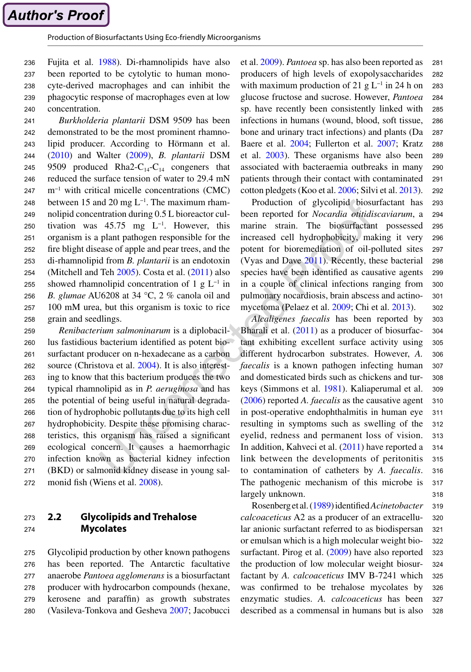Fujita et al. [1988\)](#page-16-0). Di-rhamnolipids have also been reported to be cytolytic to human monocyte-derived macrophages and can inhibit the phagocytic response of macrophages even at low concentration. 236 237 238 239 240

*Burkholderia plantarii* DSM 9509 has been demonstrated to be the most prominent rhamnolipid producer. According to Hörmann et al. [\(2010](#page-17-0)) and Walter ([2009\)](#page-21-0), *B. plantarii* DSM 9509 produced Rha2- $C_{14}$ - $C_{14}$  congeners that reduced the surface tension of water to 29.4 mN m−1 with critical micelle concentrations (CMC) between 15 and 20 mg L−1. The maximum rhamnolipid concentration during 0.5 L bioreactor cultivation was 45.75 mg  $L^{-1}$ . However, this organism is a plant pathogen responsible for the fire blight disease of apple and pear trees, and the di-rhamnolipid from *B. plantarii* is an endotoxin (Mitchell and Teh  $2005$ ). Costa et al.  $(2011)$  $(2011)$  $(2011)$  also showed rhamnolipid concentration of 1 g  $L^{-1}$  in *B. glumae* AU6208 at 34 °C, 2 % canola oil and 100 mM urea, but this organism is toxic to rice grain and seedlings. 241 242 243 244 245 246 247 248 249 250 251 252 253 254 255 256 257 258

*Renibacterium salmoninarum* is a diplobacillus fastidious bacterium identified as potent biosurfactant producer on n-hexadecane as a carbon source (Christova et al. [2004](#page-15-0)). It is also interesting to know that this bacterium produces the two typical rhamnolipid as in *P. aeruginosa* and has the potential of being useful in natural degradation of hydrophobic pollutants due to its high cell hydrophobicity. Despite these promising characteristics, this organism has raised a significant ecological concern. It causes a haemorrhagic infection known as bacterial kidney infection (BKD) or salmonid kidney disease in young salmonid fish (Wiens et al. [2008\)](#page-21-0). 259 260 261 262 263 264 265 266 267 268 269 270 271 272

#### **2.2 Glycolipids and Trehalose Mycolates** 273 274

Glycolipid production by other known pathogens has been reported. The Antarctic facultative anaerobe *Pantoea agglomerans* is a biosurfactant producer with hydrocarbon compounds (hexane, kerosene and paraffin) as growth substrates (Vasileva-Tonkova and Gesheva [2007](#page-20-0); Jacobucci 275 276 277 278 279 280

et al. [2009](#page-17-0)). *Pantoea* sp. has also been reported as producers of high levels of exopolysaccharides with maximum production of 21 g  $L^{-1}$  in 24 h on glucose fructose and sucrose. However, *Pantoea* sp. have recently been consistently linked with infections in humans (wound, blood, soft tissue, bone and urinary tract infections) and plants (Da Baere et al. [2004](#page-16-0); Fullerton et al. [2007](#page-16-0); Kratz et al. [2003](#page-18-0)). These organisms have also been associated with bacteraemia outbreaks in many patients through their contact with contaminated cotton pledgets (Koo et al. [2006](#page-18-0); Silvi et al. [2013](#page-20-0)). 281 282 283 284 285 286 287 288 289 290 291 292

Production of glycolipid biosurfactant has been reported for *Nocardia otitidiscaviarum*, a marine strain. The biosurfactant possessed increased cell hydrophobicity, making it very potent for bioremediation of oil-polluted sites (Vyas and Dave [2011](#page-21-0)). Recently, these bacterial species have been identified as causative agents in a couple of clinical infections ranging from pulmonary nocardiosis, brain abscess and actinomycetoma (Pelaez et al. [2009;](#page-19-0) Chi et al. [2013](#page-15-0)). 293 294 295 296 297 298 299 300 301 302

*Alcaligenes faecalis* has been reported by Bharali et al. [\(2011](#page-15-0)) as a producer of biosurfactant exhibiting excellent surface activity using different hydrocarbon substrates. However, *A. faecalis* is a known pathogen infecting human and domesticated birds such as chickens and turkeys (Simmons et al. [1981\)](#page-20-0). Kaliaperumal et al. ([2006](#page-17-0)) reported *A. faecalis* as the causative agent in post-operative endophthalmitis in human eye resulting in symptoms such as swelling of the eyelid, redness and permanent loss of vision. In addition, Kahveci et al. [\(2011](#page-17-0)) have reported a link between the developments of peritonitis to contamination of catheters by *A. faecalis*. The pathogenic mechanism of this microbe is largely unknown. 303 304 305 306 307 308 309 310 311 312 313 314 315 316 317 318

Rosenberg et al. [\(1989](#page-19-0)) identified *Acinetobacter calcoaceticus* A2 as a producer of an extracellular anionic surfactant referred to as biodispersan or emulsan which is a high molecular weight bio-surfactant. Pirog et al. ([2009](#page-19-0)) have also reported the production of low molecular weight biosurfactant by *A. calcoaceticus* IMV B-7241 which was confirmed to be trehalose mycolates by enzymatic studies. *A. calcoaceticus* has been described as a commensal in humans but is also 319 320 321 322 323 324 325 326 327 328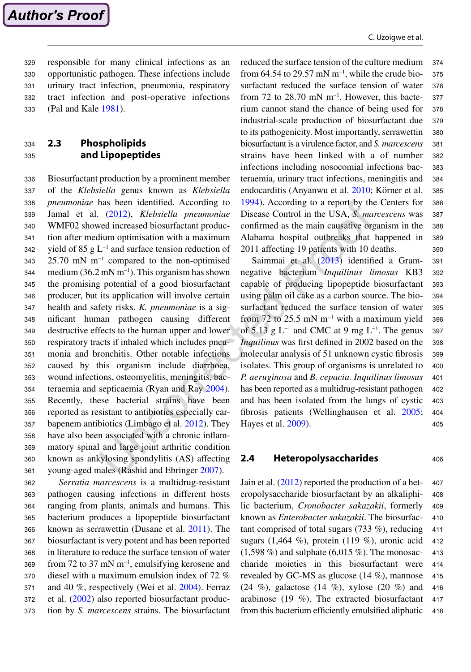C. Uzoigwe et al.

responsible for many clinical infections as an opportunistic pathogen. These infections include urinary tract infection, pneumonia, respiratory tract infection and post-operative infections (Pal and Kale [1981](#page-19-0)). 329 330 331 332 333

#### **2.3 Phospholipids and Lipopeptides** 334 335

Biosurfactant production by a prominent member of the *Klebsiella* genus known as *Klebsiella pneumoniae* has been identified. According to Jamal et al. ([2012](#page-17-0)), *Klebsiella pneumoniae* WMF02 showed increased biosurfactant production after medium optimisation with a maximum yield of 85 g L−1 and surface tension reduction of 25.70 mN m<sup>-1</sup> compared to the non-optimised medium (36.2 mN m−1). This organism has shown the promising potential of a good biosurfactant producer, but its application will involve certain health and safety risks. *K. pneumoniae* is a significant human pathogen causing different destructive effects to the human upper and lower respiratory tracts if inhaled which includes pneumonia and bronchitis. Other notable infections caused by this organism include diarrhoea, wound infections, osteomyelitis, meningitis, bacteraemia and septicaemia (Ryan and Ray [2004](#page-19-0)). Recently, these bacterial strains have been reported as resistant to antibiotics especially carbapenem antibiotics (Limbago et al. [2012](#page-18-0)). They have also been associated with a chronic inflammatory spinal and large joint arthritic condition known as ankylosing spondylitis (AS) affecting young-aged males (Rashid and Ebringer [2007\)](#page-19-0). 336 337 338 339 340 341 342 343 344 345 346 347 348 349 350 351 352 353 354 355 356 357 358 359 360 361

*Serratia marcescens* is a multidrug-resistant pathogen causing infections in different hosts ranging from plants, animals and humans. This bacterium produces a lipopeptide biosurfactant known as serrawettin (Dusane et al. [2011](#page-16-0)). The biosurfactant is very potent and has been reported in literature to reduce the surface tension of water from 72 to 37 mN m−1, emulsifying kerosene and diesel with a maximum emulsion index of 72 % and 40 %, respectively (Wei et al. [2004](#page-21-0)). Ferraz et al. ([2002\)](#page-16-0) also reported biosurfactant production by *S. marcescens* strains. The biosurfactant 362 363 364 365 366 367 368 369 370 371 372 373

reduced the surface tension of the culture medium from 64.54 to 29.57 mN m<sup>-1</sup>, while the crude biosurfactant reduced the surface tension of water from 72 to 28.70 mN m<sup>-1</sup>. However, this bacterium cannot stand the chance of being used for industrial-scale production of biosurfactant due to its pathogenicity. Most importantly, serrawettin biosurfactant is a virulence factor, and *S. marcescens* strains have been linked with a of number infections including nosocomial infections bacteraemia, urinary tract infections, meningitis and endocarditis (Anyanwu et al. [2010](#page-15-0); Körner et al. [1994](#page-18-0)). According to a report by the Centers for Disease Control in the USA, *S. marcescens* was confirmed as the main causative organism in the Alabama hospital outbreaks that happened in 2011 affecting 19 patients with 10 deaths. 374 375 376 377 378 379 380 381 382 383 384 385 386 387 388 389 390

Saimmai et al. ([2013\)](#page-20-0) identified a Gramnegative bacterium *Inquilinus limosus* KB3 capable of producing lipopeptide biosurfactant using palm oil cake as a carbon source. The biosurfactant reduced the surface tension of water from 72 to 25.5 mN m<sup>-1</sup> with a maximum yield of 5.13 g L<sup>-1</sup> and CMC at 9 mg L<sup>-1</sup>. The genus *Inquilinus* was first defined in 2002 based on the molecular analysis of 51 unknown cystic fibrosis isolates. This group of organisms is unrelated to *P. aeruginosa* and *B. cepacia. Inquilinus limosus* has been reported as a multidrug-resistant pathogen and has been isolated from the lungs of cystic fibrosis patients (Wellinghausen et al. [2005](#page-21-0); Hayes et al. [2009\)](#page-17-0). 391 392 393 394 395 396 397 398 399 400 401 402 403 404 405

## **2.4 Heteropolysaccharides**

Jain et al. ([2012](#page-17-0)) reported the production of a heteropolysaccharide biosurfactant by an alkaliphilic bacterium, *Cronobacter sakazakii*, formerly known as *Enterobacter sakazakii*. The biosurfactant comprised of total sugars (733 %), reducing sugars (1,464 %), protein (119 %), uronic acid  $(1,598\%)$  and sulphate  $(6,015\%)$ . The monosaccharide moieties in this biosurfactant were revealed by GC-MS as glucose (14 %), mannose (24 %), galactose (14 %), xylose (20 %) and arabinose (19 %). The extracted biosurfactant from this bacterium efficiently emulsified aliphatic 407 408 409 410 411 412 413 414 415 416 417 418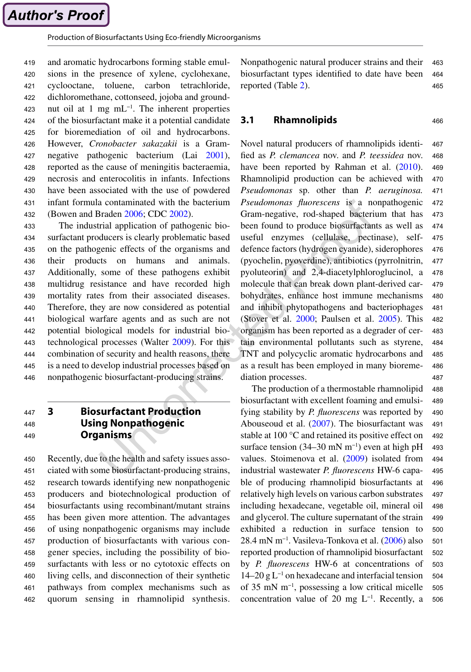and aromatic hydrocarbons forming stable emulsions in the presence of xylene, cyclohexane, cyclooctane, toluene, carbon tetrachloride, dichloromethane, cottonseed, jojoba and groundnut oil at 1 mg mL<sup>-1</sup>. The inherent properties of the biosurfactant make it a potential candidate for bioremediation of oil and hydrocarbons. However, *Cronobacter sakazakii* is a Gramnegative pathogenic bacterium (Lai [2001](#page-18-0)), reported as the cause of meningitis bacteraemia, necrosis and enterocolitis in infants. Infections have been associated with the use of powdered infant formula contaminated with the bacterium (Bowen and Braden [2006](#page-15-0); CDC [2002\)](#page-15-0). 419 420 421 422 423 424 425 426 427 428 429 430 431 432

The industrial application of pathogenic biosurfactant producers is clearly problematic based on the pathogenic effects of the organisms and their products on humans and animals. Additionally, some of these pathogens exhibit multidrug resistance and have recorded high mortality rates from their associated diseases. Therefore, they are now considered as potential biological warfare agents and as such are not potential biological models for industrial biotechnological processes (Walter [2009\)](#page-21-0). For this combination of security and health reasons, there is a need to develop industrial processes based on nonpathogenic biosurfactant-producing strains. 433 434 435 436 437 438 439 440 441 442 443 444 445 446

#### **3 Biosurfactant Production Using Nonpathogenic Organisms** 447 448 449

Recently, due to the health and safety issues associated with some biosurfactant-producing strains, research towards identifying new nonpathogenic producers and biotechnological production of biosurfactants using recombinant/mutant strains has been given more attention. The advantages of using nonpathogenic organisms may include production of biosurfactants with various congener species, including the possibility of biosurfactants with less or no cytotoxic effects on living cells, and disconnection of their synthetic pathways from complex mechanisms such as quorum sensing in rhamnolipid synthesis. 450 451 452 453 454 455 456 457 458 459 460 461 462

Nonpathogenic natural producer strains and their biosurfactant types identified to date have been reported (Table [2\)](#page-9-0). 463 464 465

#### **3.1 Rhamnolipids** 466

Novel natural producers of rhamnolipids identified as *P. clemancea* nov. and *P. teessidea* nov. have been reported by Rahman et al. ([2010](#page-19-0)). Rhamnolipid production can be achieved with *Pseudomonas* sp. other than *P. aeruginosa. Pseudomonas fluorescens* is a nonpathogenic Gram-negative, rod-shaped bacterium that has been found to produce biosurfactants as well as useful enzymes (cellulase, pectinase), selfdefence factors (hydrogen cyanide), siderophores (pyochelin, pyoverdine), antibiotics (pyrrolnitrin, pyoluteorin) and 2,4-diacetylphloroglucinol, a molecule that can break down plant-derived carbohydrates, enhance host immune mechanisms and inhibit phytopathogens and bacteriophages (Stover et al. [2000](#page-20-0); Paulsen et al. [2005](#page-19-0)). This organism has been reported as a degrader of certain environmental pollutants such as styrene, TNT and polycyclic aromatic hydrocarbons and as a result has been employed in many bioremediation processes. 467 468 469 470 471 472 473 474 475 476 477 478 479 480 481 482 483 484 485 486 487

The production of a thermostable rhamnolipid biosurfactant with excellent foaming and emulsifying stability by *P. fluorescens* was reported by Abouseoud et al. ([2007](#page-15-0)). The biosurfactant was stable at 100 °C and retained its positive effect on surface tension (34–30 mN m<sup>-1</sup>) even at high pH values. Stoimenova et al. ([2009\)](#page-20-0) isolated from industrial wastewater *P. fluorescens* HW-6 capable of producing rhamnolipid biosurfactants at relatively high levels on various carbon substrates including hexadecane, vegetable oil, mineral oil and glycerol. The culture supernatant of the strain exhibited a reduction in surface tension to 28.4 mN m−1. Vasileva-Tonkova et al. ([2006\)](#page-20-0) also reported production of rhamnolipid biosurfactant by *P. fluorescens* HW-6 at concentrations of 14–20 g L−1 on hexadecane and interfacial tension of 35 mN m−1, possessing a low critical micelle concentration value of 20 mg  $L^{-1}$ . Recently, a 488 489 490 491  $492$ 493 494 495 496 497 498 499 500 501 502 503 504 505 506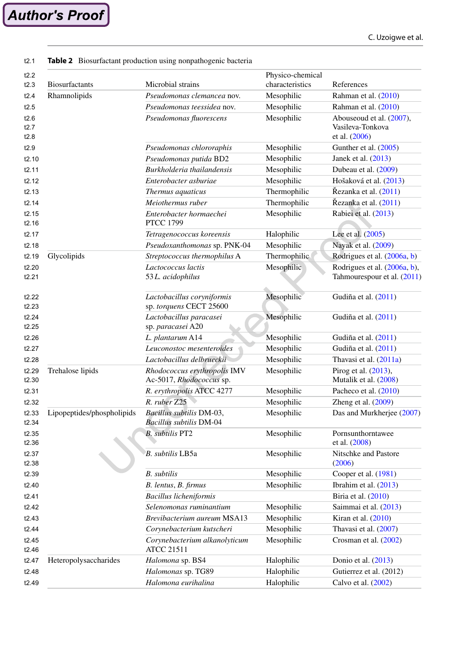| <b>Biosurfactants</b>      | Microbial strains                                          | Physico-chemical<br>characteristics | References                                                    |
|----------------------------|------------------------------------------------------------|-------------------------------------|---------------------------------------------------------------|
| Rhamnolipids               | Pseudomonas clemancea nov.                                 | Mesophilic                          | Rahman et al. (2010)                                          |
|                            | Pseudomonas teessidea nov.                                 | Mesophilic                          | Rahman et al. (2010)                                          |
|                            | Pseudomonas fluorescens                                    | Mesophilic                          | Abouseoud et al. (2007),<br>Vasileva-Tonkova<br>et al. (2006) |
|                            | Pseudomonas chlororaphis                                   | Mesophilic                          | Gunther et al. $(2005)$                                       |
|                            | Pseudomonas putida BD2                                     | Mesophilic                          | Janek et al. (2013)                                           |
|                            | Burkholderia thailandensis                                 | Mesophilic                          | Dubeau et al. (2009)                                          |
|                            | Enterobacter asburiae                                      | Mesophilic                          | Hošaková et al. (2013)                                        |
|                            | Thermus aquaticus                                          | Thermophilic                        | Řezanka et al. (2011)                                         |
|                            | Meiothermus ruber                                          | Thermophilic                        | Řezanka et al. (2011)                                         |
|                            | Enterobacter hormaechei<br><b>PTCC 1799</b>                | Mesophilic                          | Rabiei et al. (2013)                                          |
|                            | Tetragenococcus koreensis                                  | Halophilic                          | Lee et al. (2005)                                             |
|                            | Pseudoxanthomonas sp. PNK-04                               | Mesophilic                          | Nayak et al. (2009)                                           |
| Glycolipids                | Streptococcus thermophilus A                               | Thermophilic                        | Rodrigues et al. (2006a, b)                                   |
|                            | Lactococcus lactis<br>53L. acidophilus                     | Mesophilic                          | Rodrigues et al. (2006a, b),<br>Tahmourespour et al. (2011)   |
|                            | Lactobacillus coryniformis<br>sp. torquens CECT 25600      | Mesophilic                          | Gudiña et al. (2011)                                          |
|                            | Lactobacillus paracasei<br>sp. paracasei A20               | Mesophilic                          | Gudiña et al. (2011)                                          |
|                            | L. plantarum A14                                           | Mesophilic                          | Gudiña et al. (2011)                                          |
|                            | Leuconostoc mesenteroides                                  | Mesophilic                          | Gudiña et al. (2011)                                          |
|                            | Lactobacillus delbrueckii                                  | Mesophilic                          | Thavasi et al. (2011a)                                        |
| Trehalose lipids           | Rhodococcus erythropolis IMV<br>Ac-5017, Rhodococcus sp.   | Mesophilic                          | Pirog et al. (2013),<br>Mutalik et al. (2008)                 |
|                            | R. erythropolis ATCC 4277                                  | Mesophilic                          | Pacheco et al. (2010)                                         |
|                            | R. ruber Z25                                               | Mesophilic                          | Zheng et al. $(2009)$                                         |
| Lipopeptides/phospholipids | Bacillus subtilis DM-03,<br><b>Bacillus subtilis DM-04</b> | Mesophilic                          | Das and Murkherjee (2007)                                     |
|                            | <b>B.</b> subtilis PT2                                     | Mesophilic                          | Pornsunthorntawee<br>et al. (2008)                            |
|                            | B. subtilis LB5a                                           | Mesophilic                          | Nitschke and Pastore<br>(2006)                                |
|                            | <b>B.</b> subtilis                                         | Mesophilic                          | Cooper et al. (1981)                                          |
|                            | B. lentus, B. firmus                                       | Mesophilic                          | Ibrahim et al. (2013)                                         |
|                            | <b>Bacillus licheniformis</b>                              |                                     | Biria et al. (2010)                                           |
|                            | Selenomonas ruminantium                                    | Mesophilic                          | Saimmai et al. (2013)                                         |
|                            | Brevibacterium aureum MSA13                                | Mesophilic                          | Kiran et al. $(2010)$                                         |
|                            | Corynebacterium kutscheri                                  | Mesophilic                          | Thavasi et al. (2007)                                         |
|                            | Corynebacterium alkanolyticum<br><b>ATCC 21511</b>         | Mesophilic                          | Crosman et al. (2002)                                         |
| Heteropolysaccharides      | Halomona sp. BS4                                           | Halophilic                          | Donio et al. $(2013)$                                         |
|                            | Halomonas sp. TG89                                         | Halophilic                          | Gutierrez et al. (2012)                                       |
|                            | Halomona eurihalina                                        | Halophilic                          | Calvo et al. (2002)                                           |
|                            |                                                            |                                     |                                                               |

#### <span id="page-9-0"></span>**Table 2** Biosurfactant production using nonpathogenic bacteria t2.1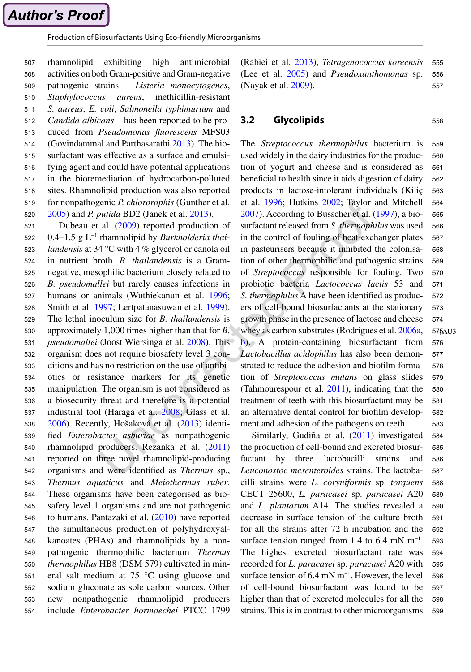rhamnolipid exhibiting high antimicrobial activities on both Gram-positive and Gram-negative pathogenic strains – *Listeria monocytogenes*, *Staphylococcus aureus*, methicillin-resistant *S. aureus*, *E. coli*, *Salmonella typhimurium* and *Candida albicans* – has been reported to be produced from *Pseudomonas fluorescens* MFS03 (Govindammal and Parthasarathi [2013](#page-16-0)). The biosurfactant was effective as a surface and emulsifying agent and could have potential applications in the bioremediation of hydrocarbon-polluted sites. Rhamnolipid production was also reported for nonpathogenic *P. chlororaphis* (Gunther et al. [2005](#page-16-0)) and *P. putida* BD2 (Janek et al. [2013](#page-17-0)). 507 508 509 510 511 512 513 514 515 516 517 518 519 520

Dubeau et al. ([2009](#page-16-0)) reported production of 0.4–1.5 g L−1 rhamnolipid by *Burkholderia thailandensis* at 34 °C with 4 % glycerol or canola oil in nutrient broth. *B. thailandensis* is a Gramnegative, mesophilic bacterium closely related to *B. pseudomallei* but rarely causes infections in humans or animals (Wuthiekanun et al. [1996](#page-21-0); Smith et al. [1997](#page-20-0); Lertpatanasuwan et al. [1999](#page-18-0)). The lethal inoculum size for *B. thailandensis* is approximately 1,000 times higher than that for *B. pseudomallei* (Joost Wiersinga et al. [2008](#page-17-0)). This organism does not require biosafety level 3 conditions and has no restriction on the use of antibiotics or resistance markers for its genetic manipulation. The organism is not considered as a biosecurity threat and therefore is a potential industrial tool (Haraga et al. [2008](#page-17-0); Glass et al. [2006](#page-16-0)). Recently, Hošaková et al. [\(2013](#page-17-0)) identified *Enterobacter asburiae* as nonpathogenic rhamnolipid producers. Rezanka et al. [\(2011](#page-19-0)) reported on three novel rhamnolipid-producing organisms and were identified as *Thermus* sp., *Thermus aquaticus* and *Meiothermus ruber*. These organisms have been categorised as biosafety level 1 organisms and are not pathogenic to humans. Pantazaki et al. ([2010](#page-19-0)) have reported the simultaneous production of polyhydroxyalkanoates (PHAs) and rhamnolipids by a nonpathogenic thermophilic bacterium *Thermus thermophilus* HB8 (DSM 579) cultivated in mineral salt medium at 75 °C using glucose and sodium gluconate as sole carbon sources. Other new nonpathogenic rhamnolipid producers include *Enterobacter hormaechei* PTCC 1799 521 522 523 524 525 526 527 528 529 530 531 532 533 534 535 536 537 538 539 540 541 542 543 544 545 546 547 548 549 550 551 552 553 554

(Rabiei et al. [2013](#page-19-0)), *Tetragenococcus koreensis* (Lee et al. [2005](#page-18-0)) and *Pseudoxanthomonas* sp. (Nayak et al. [2009\)](#page-18-0). 555 556 557

558

## **3.2 Glycolipids**

The *Streptococcus thermophilus* bacterium is used widely in the dairy industries for the production of yogurt and cheese and is considered as beneficial to health since it aids digestion of dairy products in lactose-intolerant individuals (Kiliç et al. [1996](#page-17-0); Hutkins [2002](#page-17-0); Taylor and Mitchell [2007](#page-20-0)). According to Busscher et al. ([1997](#page-15-0)), a biosurfactant released from *S. thermophilus* was used in the control of fouling of heat-exchanger plates in pasteurisers because it inhibited the colonisation of other thermophilic and pathogenic strains of *Streptococcus* responsible for fouling. Two probiotic bacteria *Lactococcus lactis* 53 and *S. thermophilus* A have been identified as producers of cell-bound biosurfactants at the stationary growth phase in the presence of lactose and cheese whey as carbon substrates (Rodrigues et al. [2006a](#page-19-0), [b\)](#page-19-0). A protein-containing biosurfactant from *Lactobacillus acidophilus* has also been demonstrated to reduce the adhesion and biofilm formation of *Streptococcus mutans* on glass slides (Tahmourespour et al. [2011](#page-20-0)), indicating that the treatment of teeth with this biosurfactant may be an alternative dental control for biofilm development and adhesion of the pathogens on teeth. 57**[AU3]** 559 560 561 562 563 564 565 566 567 568 569 570 571 572 573 574 576 577 578 579 580 581 582 583

Similarly, Gudiña et al. ([2011](#page-16-0)) investigated the production of cell-bound and excreted biosurfactant by three lactobacilli strains and *Leuconostoc mesenteroides* strains. The lactobacilli strains were *L. coryniformis* sp. *torquens* CECT 25600, *L. paracasei* sp. *paracasei* A20 and *L. plantarum* A14. The studies revealed a decrease in surface tension of the culture broth for all the strains after 72 h incubation and the surface tension ranged from 1.4 to 6.4 mN  $m^{-1}$ . The highest excreted biosurfactant rate was recorded for *L. paracasei* sp. *paracasei* A20 with surface tension of  $6.4$  mN m<sup>-1</sup>. However, the level of cell-bound biosurfactant was found to be higher than that of excreted molecules for all the strains. This is in contrast to other microorganisms 584 585 586 587 588 589 590 591 592 593 594 595 596 597 598 599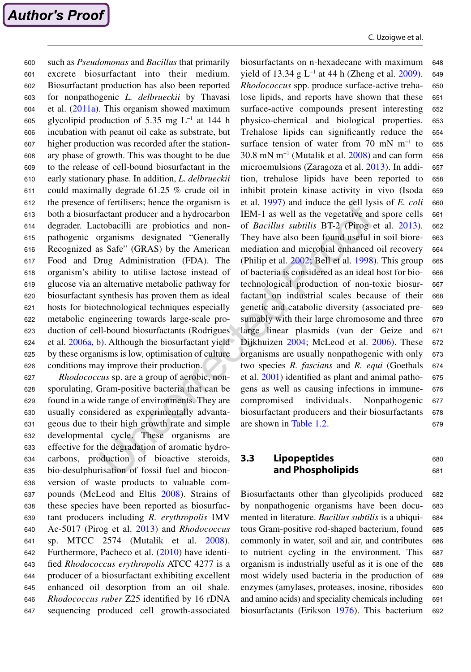such as *Pseudomonas* and *Bacillus* that primarily excrete biosurfactant into their medium. Biosurfactant production has also been reported for nonpathogenic *L. delbrueckii* by Thavasi et al. ([2011a](#page-20-0)). This organism showed maximum glycolipid production of 5.35 mg L−1 at 144 h incubation with peanut oil cake as substrate, but higher production was recorded after the stationary phase of growth. This was thought to be due to the release of cell-bound biosurfactant in the early stationary phase. In addition, *L. delbrueckii* could maximally degrade 61.25 % crude oil in the presence of fertilisers; hence the organism is both a biosurfactant producer and a hydrocarbon degrader. Lactobacilli are probiotics and nonpathogenic organisms designated "Generally Recognized as Safe" (GRAS) by the American Food and Drug Administration (FDA). The organism's ability to utilise lactose instead of glucose via an alternative metabolic pathway for biosurfactant synthesis has proven them as ideal hosts for biotechnological techniques especially metabolic engineering towards large-scale production of cell-bound biosurfactants (Rodrigues et al. [2006a,](#page-19-0) [b](#page-19-0)). Although the biosurfactant yield by these organisms is low, optimisation of culture conditions may improve their production. 600 601 602 603 604 605 606 607 608 609 610 611 612 613 614 615 616 617 618 619 620 621 622 623 624 625 626

*Rhodococcus* sp. are a group of aerobic, nonsporulating, Gram-positive bacteria that can be found in a wide range of environments. They are usually considered as experimentally advantageous due to their high growth rate and simple developmental cycle. These organisms are effective for the degradation of aromatic hydrocarbons, production of bioactive steroids, bio-desulphurisation of fossil fuel and bioconversion of waste products to valuable compounds (McLeod and Eltis [2008](#page-18-0)). Strains of these species have been reported as biosurfactant producers including *R. erythropolis* IMV Ac-5017 (Pirog et al. [2013](#page-19-0)) and *Rhodococcus* sp. MTCC 2574 (Mutalik et al. [2008\)](#page-18-0). Furthermore, Pacheco et al. [\(2010](#page-19-0)) have identified *Rhodococcus erythropolis* ATCC 4277 is a producer of a biosurfactant exhibiting excellent enhanced oil desorption from an oil shale. *Rhodococcus ruber* Z25 identified by 16 rDNA sequencing produced cell growth-associated 627 628 629 630 631 632 633 634 635 636 637 638 639 640 641 642 643 644 645 646 647

biosurfactants on n-hexadecane with maximum yield of 13.34 g L<sup>-1</sup> at 44 h (Zheng et al. [2009\)](#page-21-0). *Rhodococcus* spp. produce surface-active trehalose lipids, and reports have shown that these surface-active compounds present interesting physico-chemical and biological properties. Trehalose lipids can significantly reduce the surface tension of water from 70 mN m<sup>-1</sup> to 30.8 mN m−1 (Mutalik et al. [2008\)](#page-18-0) and can form microemulsions (Zaragoza et al. [2013](#page-21-0)). In addition, trehalose lipids have been reported to inhibit protein kinase activity in vivo (Isoda et al. [1997](#page-17-0)) and induce the cell lysis of *E. coli* IEM-1 as well as the vegetative and spore cells of *Bacillus subtilis* BT-2 (Pirog et al. [2013](#page-19-0)). They have also been found useful in soil bioremediation and microbial enhanced oil recovery (Philip et al. [2002;](#page-19-0) Bell et al. [1998](#page-15-0)). This group of bacteria is considered as an ideal host for biotechnological production of non-toxic biosurfactant on industrial scales because of their genetic and catabolic diversity (associated presumably with their large chromosome and three large linear plasmids (van der Geize and Dijkhuizen [2004;](#page-20-0) McLeod et al. [2006](#page-18-0)). These organisms are usually nonpathogenic with only two species *R. fascians* and *R. equi* (Goethals et al. [2001](#page-16-0)) identified as plant and animal pathogens as well as causing infections in immunecompromised individuals. Nonpathogenic biosurfactant producers and their biosurfactants are shown in [Table 1.2](http://dx.doi.org/10.1007/978-81-322-2056-5). 648 649 650 651 652 653 654 655 656 657 658 659 660 661 662 663 664 665 666 667 668 669 670 671 672 673 674 675 676 677 678 679

#### **3.3 Lipopeptides and Phospholipids** 680 681

Biosurfactants other than glycolipids produced by nonpathogenic organisms have been documented in literature. *Bacillus subtilis* is a ubiquitous Gram-positive rod-shaped bacterium, found commonly in water, soil and air, and contributes to nutrient cycling in the environment. This organism is industrially useful as it is one of the most widely used bacteria in the production of enzymes (amylases, proteases, inosine, ribosides and amino acids) and speciality chemicals including biosurfactants (Erikson [1976](#page-16-0)). This bacterium 682 683 684 685 686 687 688 689 690 691 692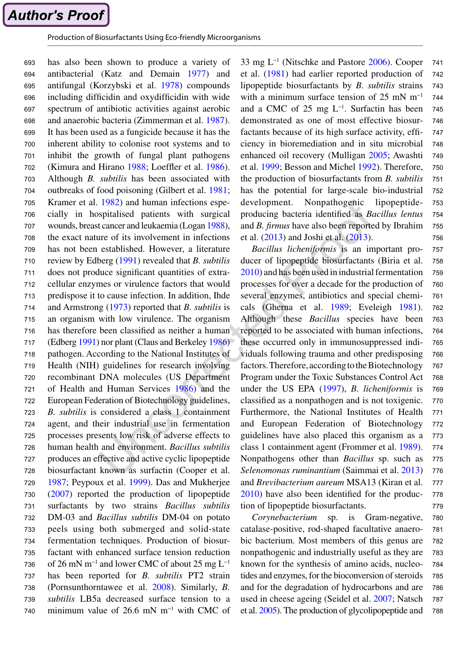```
Author's Proof
```
has also been shown to produce a variety of antibacterial (Katz and Demain [1977](#page-17-0)) and antifungal (Korzybski et al. [1978](#page-18-0)) compounds including difficidin and oxydifficidin with wide spectrum of antibiotic activities against aerobic and anaerobic bacteria (Zimmerman et al. [1987](#page-21-0)). It has been used as a fungicide because it has the inherent ability to colonise root systems and to inhibit the growth of fungal plant pathogens (Kimura and Hirano [1988](#page-17-0); Loeffler et al. [1986](#page-18-0)). Although *B. subtilis* has been associated with outbreaks of food poisoning (Gilbert et al. [1981](#page-16-0); Kramer et al. [1982](#page-18-0)) and human infections especially in hospitalised patients with surgical wounds, breast cancer and leukaemia (Logan [1988](#page-18-0)), the exact nature of its involvement in infections has not been established. However, a literature review by Edberg [\(1991](#page-16-0)) revealed that *B. subtilis* does not produce significant quantities of extracellular enzymes or virulence factors that would predispose it to cause infection. In addition, Ihde and Armstrong [\(1973](#page-17-0)) reported that *B. subtilis* is an organism with low virulence. The organism has therefore been classified as neither a human (Edberg [1991](#page-16-0)) nor plant (Claus and Berkeley [1986](#page-16-0)) pathogen. According to the National Institutes of Health (NIH) guidelines for research involving recombinant DNA molecules (US Department of Health and Human Services [1986](#page-20-0)) and the European Federation of Biotechnology guidelines, *B. subtilis* is considered a class 1 containment agent, and their industrial use in fermentation processes presents low risk of adverse effects to human health and environment. *Bacillus subtilis* produces an effective and active cyclic lipopeptide biosurfactant known as surfactin (Cooper et al. [1987](#page-16-0); Peypoux et al. [1999](#page-19-0)). Das and Mukherjee ([2007](#page-16-0)) reported the production of lipopeptide surfactants by two strains *Bacillus subtilis* DM-03 and *Bacillus subtilis* DM-04 on potato peels using both submerged and solid-state fermentation techniques. Production of biosurfactant with enhanced surface tension reduction of 26 mN m−1 and lower CMC of about 25 mg L−1 has been reported for *B. subtilis* PT2 strain (Pornsunthorntawee et al. [2008](#page-19-0)). Similarly, *B. subtilis* LB5a decreased surface tension to a minimum value of 26.6 mN m−1 with CMC of 693 694 695 696 697 698 699 700 701 702 703 704 705 706 707 708 709 710 711 712 713 714 715 716 717 718 719 720 721 722 723 724 725 726 727 728 729 730 731 732 733 734 735 736 737 738 739 740

33 mg L−1 (Nitschke and Pastore [2006](#page-18-0)). Cooper et al. ([1981](#page-16-0)) had earlier reported production of lipopeptide biosurfactants by *B. subtilis* strains with a minimum surface tension of 25 mN  $m^{-1}$ and a CMC of 25 mg  $L^{-1}$ . Surfactin has been demonstrated as one of most effective biosurfactants because of its high surface activity, efficiency in bioremediation and in situ microbial enhanced oil recovery (Mulligan [2005](#page-18-0); Awashti et al. [1999;](#page-15-0) Besson and Michel [1992](#page-15-0)). Therefore, the production of biosurfactants from *B. subtilis* has the potential for large-scale bio-industrial development. Nonpathogenic lipopeptideproducing bacteria identified as *Bacillus lentus* and *B. firmus* have also been reported by Ibrahim et al. [\(2013](#page-17-0)) and Joshi et al. [\(2013](#page-17-0)). 741 742 743 744 745 746 747 748 749 750 751 752 753 754 755 756

*Bacillus licheniformis* is an important producer of lipopeptide biosurfactants (Biria et al. [2010](#page-15-0)) and has been used in industrial fermentation processes for over a decade for the production of several enzymes, antibiotics and special chemicals (Gherna et al. [1989](#page-16-0); Eveleigh [1981](#page-16-0)). Although these *Bacillus* species have been reported to be associated with human infections, these occurred only in immunosuppressed individuals following trauma and other predisposing factors. Therefore, according to the Biotechnology Program under the Toxic Substances Control Act under the US EPA ([1997](#page-20-0)), *B. licheniformis* is classified as a nonpathogen and is not toxigenic. Furthermore, the National Institutes of Health and European Federation of Biotechnology guidelines have also placed this organism as a class 1 containment agent (Frommer et al. [1989](#page-16-0)). Nonpathogens other than *Bacillus* sp. such as *Selenomonas ruminantium* (Saimmai et al. [2013](#page-20-0)) and *Brevibacterium aureum* MSA13 (Kiran et al. [2010](#page-18-0)) have also been identified for the production of lipopeptide biosurfactants. 757 758 759 760 761 762 763 764 765 766 767 768 769 770 771 772 773 774 775 776 777 778 779

*Corynebacterium* sp. is Gram-negative, catalase-positive, rod-shaped facultative anaerobic bacterium. Most members of this genus are nonpathogenic and industrially useful as they are known for the synthesis of amino acids, nucleotides and enzymes, for the bioconversion of steroids and for the degradation of hydrocarbons and are used in cheese ageing (Seidel et al. [2007](#page-20-0); Natsch et al. [2005](#page-18-0)). The production of glycolipopeptide and 780 781 782 783 784 785 786 787 788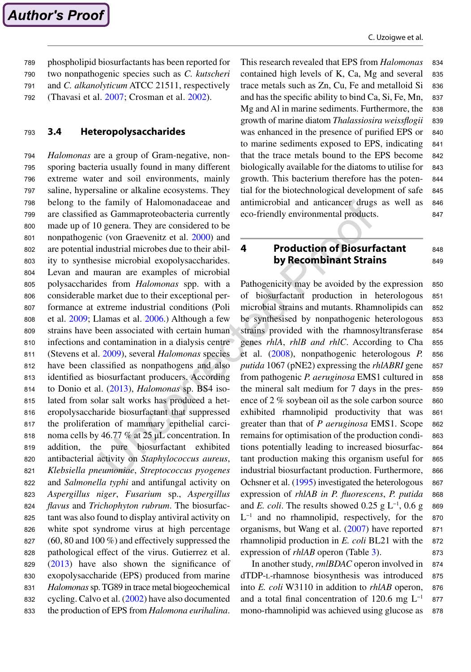phospholipid biosurfactants has been reported for two nonpathogenic species such as *C. kutscheri* and *C. alkanolyticum* ATCC 21511, respectively (Thavasi et al. [2007](#page-20-0); Crosman et al. [2002](#page-16-0)). 789 790 791 792

#### **3.4 Heteropolysaccharides** 793

*Halomonas* are a group of Gram-negative, nonsporing bacteria usually found in many different extreme water and soil environments, mainly saline, hypersaline or alkaline ecosystems. They belong to the family of Halomonadaceae and are classified as Gammaproteobacteria currently made up of 10 genera. They are considered to be nonpathogenic (von Graevenitz et al. [2000](#page-21-0)) and are potential industrial microbes due to their ability to synthesise microbial exopolysaccharides. Levan and mauran are examples of microbial polysaccharides from *Halomonas* spp. with a considerable market due to their exceptional performance at extreme industrial conditions (Poli et al. [2009](#page-19-0); Llamas et al. [2006](#page-18-0).) Although a few strains have been associated with certain human infections and contamination in a dialysis centre (Stevens et al. [2009\)](#page-20-0), several *Halomonas* species have been classified as nonpathogens and also identified as biosurfactant producers. According to Donio et al. ([2013](#page-16-0)), *Halomonas* sp. BS4 isolated from solar salt works has produced a heteropolysaccharide biosurfactant that suppressed the proliferation of mammary epithelial carcinoma cells by 46.77 % at 25 μL concentration. In addition, the pure biosurfactant exhibited antibacterial activity on *Staphylococcus aureus*, *Klebsiella pneumoniae*, *Streptococcus pyogenes* and *Salmonella typhi* and antifungal activity on *Aspergillus niger*, *Fusarium* sp., *Aspergillus flavus* and *Trichophyton rubrum*. The biosurfactant was also found to display antiviral activity on white spot syndrome virus at high percentage (60, 80 and 100 %) and effectively suppressed the pathological effect of the virus. Gutierrez et al. [\(2013](#page-17-0)) have also shown the significance of exopolysaccharide (EPS) produced from marine *Halomonas* sp. TG89 in trace metal biogeochemical cycling. Calvo et al. ([2002](#page-15-0)) have also documented the production of EPS from *Halomona eurihalina*. 794 795 796 797 798 799 800 801 802 803 804 805 806 807 808 809 810 811 812 813 814 815 816 817 818 819 820 821 822 823 824 825 826 827 828 829 830 831 832 833

This research revealed that EPS from *Halomonas* contained high levels of K, Ca, Mg and several trace metals such as Zn, Cu, Fe and metalloid Si and has the specific ability to bind Ca, Si, Fe, Mn, Mg and Al in marine sediments. Furthermore, the growth of marine diatom *Thalassiosira weissflogii* was enhanced in the presence of purified EPS or to marine sediments exposed to EPS, indicating that the trace metals bound to the EPS become biologically available for the diatoms to utilise for growth. This bacterium therefore has the potential for the biotechnological development of safe antimicrobial and anticancer drugs as well as eco-friendly environmental products. 834 835 836 837 838 839 840 841 842 843 844 845 846 847

#### **4 Production of Biosurfactant by Recombinant Strains** 848 849

Pathogenicity may be avoided by the expression of biosurfactant production in heterologous microbial strains and mutants. Rhamnolipids can be synthesised by nonpathogenic heterologous strains provided with the rhamnosyltransferase genes *rhlA*, *rhlB and rhlC*. According to Cha et al. ([2008\)](#page-15-0), nonpathogenic heterologous *P. putida* 1067 (pNE2) expressing the *rhlABRI* gene from pathogenic *P. aeruginosa* EMS1 cultured in the mineral salt medium for 7 days in the presence of 2 % soybean oil as the sole carbon source exhibited rhamnolipid productivity that was greater than that of *P aeruginosa* EMS1. Scope remains for optimisation of the production conditions potentially leading to increased biosurfactant production making this organism useful for industrial biosurfactant production. Furthermore, Ochsner et al. [\(1995](#page-18-0)) investigated the heterologous expression of *rhlAB in P. fluorescens*, *P. putida* and *E. coli*. The results showed 0.25 g  $L^{-1}$ , 0.6 g L−1 and no rhamnolipid, respectively, for the organisms, but Wang et al. ([2007](#page-21-0)) have reported rhamnolipid production in *E. coli* BL21 with the expression of *rhlAB* operon (Table [3](#page-14-0)). 850 851 852 853 854 855 856 857 858 859 860 861 862 863 864 865 866 867 868 869 870 871 872 873

In another study, *rmlBDAC* operon involved in dTDP-l-rhamnose biosynthesis was introduced into *E. coli* W3110 in addition to *rhlAB* operon, and a total final concentration of 120.6 mg  $L^{-1}$ mono-rhamnolipid was achieved using glucose as 874 875 876 877 878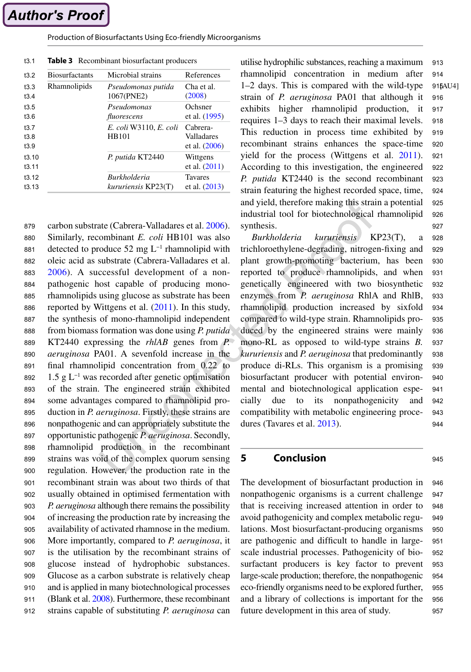### <span id="page-14-0"></span>Production of Biosurfactants Using Eco-friendly Microorganisms

| t3.2  | <b>Biosurfactants</b> | Microbial strains      | References      |
|-------|-----------------------|------------------------|-----------------|
| 13.3  | Rhamnolipids          | Pseudomonas putida     | Cha et al.      |
| 13.4  |                       | 1067(PNE2)             | (2008)          |
| 13.5  |                       | Pseudomonas            | Ochsner         |
| t3.6  |                       | fluorescens            | et al. (1995)   |
| 13.7  |                       | E. coli W3110, E. coli | Cabrera-        |
| 13.8  |                       | HB101                  | Valladares      |
| 13.9  |                       |                        | et al. (2006)   |
| 13.10 |                       | P. putida KT2440       | Wittgens        |
| 13.11 |                       |                        | et al. $(2011)$ |
| 13.12 |                       | <b>Burkholderia</b>    | <b>Tavares</b>  |
| 13.13 |                       | kururiensis KP23(T)    | et al. $(2013)$ |

**Table 3** Recombinant biosurfactant producers t3.1

carbon substrate (Cabrera-Valladares et al. [2006\)](#page-15-0). Similarly, recombinant *E. coli* HB101 was also detected to produce 52 mg L−1 rhamnolipid with oleic acid as substrate (Cabrera-Valladares et al. [2006\)](#page-15-0). A successful development of a nonpathogenic host capable of producing monorhamnolipids using glucose as substrate has been reported by Wittgens et al. [\(2011](#page-21-0)). In this study, the synthesis of mono-rhamnolipid independent from biomass formation was done using *P. putida* KT2440 expressing the *rhlAB* genes from *P. aeruginosa* PA01. A sevenfold increase in the final rhamnolipid concentration from 0.22 to 1.5 g L−1 was recorded after genetic optimisation of the strain. The engineered strain exhibited some advantages compared to rhamnolipid production in *P. aeruginosa*. Firstly, these strains are nonpathogenic and can appropriately substitute the opportunistic pathogenic *P. aeruginosa*. Secondly, rhamnolipid production in the recombinant strains was void of the complex quorum sensing regulation. However, the production rate in the recombinant strain was about two thirds of that usually obtained in optimised fermentation with *P. aeruginosa* although there remains the possibility of increasing the production rate by increasing the availability of activated rhamnose in the medium. More importantly, compared to *P. aeruginosa*, it is the utilisation by the recombinant strains of glucose instead of hydrophobic substances. Glucose as a carbon substrate is relatively cheap and is applied in many biotechnological processes (Blank et al. [2008\)](#page-15-0). Furthermore, these recombinant strains capable of substituting *P. aeruginosa* can 879 880 881 882 883 884 885 886 887 888 889 890 891 892 893 894 895 896 897 898 899 900 901 902 903 904 905 906 907 908 909 910 911 912

utilise hydrophilic substances, reaching a maximum rhamnolipid concentration in medium after 1–2 days. This is compared with the wild-type strain of *P. aeruginosa* PA01 that although it exhibits higher rhamnolipid production, it requires 1–3 days to reach their maximal levels. This reduction in process time exhibited by recombinant strains enhances the space-time yield for the process (Wittgens et al. [2011](#page-21-0)). According to this investigation, the engineered *P. putida* KT2440 is the second recombinant strain featuring the highest recorded space, time, and yield, therefore making this strain a potential industrial tool for biotechnological rhamnolipid synthesis. 915AU4] 913 914 916 917 918 919 920 921 922 923 924 925 926 927

*Burkholderia kururiensis* KP23(T), a trichloroethylene-degrading, nitrogen-fixing and plant growth-promoting bacterium, has been reported to produce rhamnolipids, and when genetically engineered with two biosynthetic enzymes from *P. aeruginosa* RhlA and RhlB, rhamnolipid production increased by sixfold compared to wild-type strain. Rhamnolipids produced by the engineered strains were mainly mono-RL as opposed to wild-type strains *B. kururiensis* and *P. aeruginosa* that predominantly produce di-RLs. This organism is a promising biosurfactant producer with potential environmental and biotechnological application especially due to its nonpathogenicity and compatibility with metabolic engineering procedures (Tavares et al. [2013](#page-20-0)). 928 929 930 931 932 933 934 935 936 937 938 939 940 941 942 943 944

## **5 Conclusion**

945

The development of biosurfactant production in nonpathogenic organisms is a current challenge that is receiving increased attention in order to avoid pathogenicity and complex metabolic regulations. Most biosurfactant-producing organisms are pathogenic and difficult to handle in largescale industrial processes. Pathogenicity of biosurfactant producers is key factor to prevent large-scale production; therefore, the nonpathogenic eco-friendly organisms need to be explored further, and a library of collections is important for the future development in this area of study. 946 947 948 949 950 951 952 953 954 955 956 957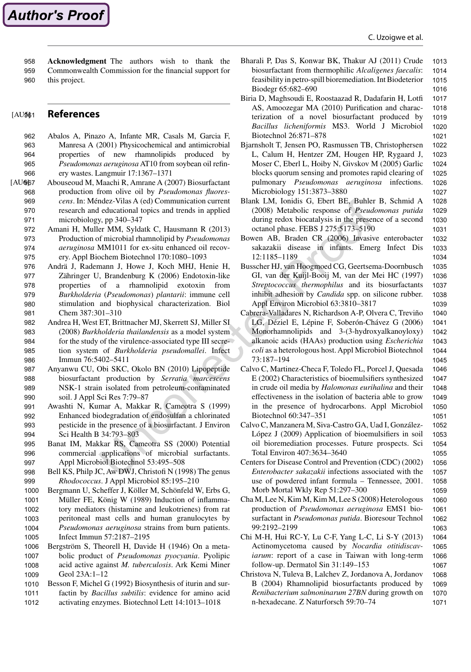1031

1034 1035

1039 1040

1065

1067

<span id="page-15-0"></span>**Acknowledgment** The authors wish to thank the Commonwealth Commission for the financial support for this project. 958 959 960

#### **References** [AU<sub>961</sub>

- Abalos A, Pinazo A, Infante MR, Casals M, Garcia F, Manresa A (2001) Physicochemical and antimicrobial properties of new rhamnolipids produced by *Pseudomonas aeruginosa* AT10 from soybean oil refinery wastes. Langmuir 17:1367–1371 962 963 964 965 966
- Abouseoud M, Maachi R, Amrane A (2007) Biosurfactant production from olive oil by *Pseudomonas fluorescens*. In: Méndez-Vilas A (ed) Communication current research and educational topics and trends in applied microbiology, pp 340–347 [AU@<sub>67</sub> 968 969 970 971
	- Amani H, Muller MM, Syldatk C, Hausmann R (2013) Production of microbial rhamnolipid by *Pseudomonas aeruginosa* MM1011 for ex-situ enhanced oil recovery. Appl Biochem Biotechnol 170:1080–1093 972 973 974 975
	- Andrä J, Rademann J, Howe J, Koch MHJ, Henie H, Zähringer U, Brandenburg K (2006) Endotoxin-like properties of a rhamnolipid exotoxin from *Burkholderia* (*Pseudomonas*) *plantarii*: immune cell stimulation and biophysical characterization. Biol Chem 387:301–310 976 977 978 979 980 981
	- Andrea H, West ET, Brittnacher MJ, Skerrett SJ, Miller SI (2008) *Burkholderia thailandensis* as a model system for the study of the virulence-associated type III secretion system of *Burkholderia pseudomallei*. Infect Immun 76:5402–5411 982 983 984 985 986
	- Anyanwu CU, Obi SKC, Okolo BN (2010) Lipopeptide biosurfactant production by *Serratia marcescens* NSK-1 strain isolated from petroleum-contaminated soil. J Appl Sci Res 7:79–87 987 988 989 990
	- Awashti N, Kumar A, Makkar R, Cameotra S (1999) Enhanced biodegradation of endosulfan a chlorinated pesticide in the presence of a biosurfactant. J Environ Sci Health B 34:793–803 991 992 993 994
	- Banat IM, Makkar RS, Cameotra SS (2000) Potential commercial applications of microbial surfactants. Appl Microbiol Biotechnol 53:495–508 995 996 997
	- Bell KS, Philp JC, Aw DWJ, Christofi N (1998) The genus *Rhodococcus*. J Appl Microbiol 85:195–210 998 999
	- Bergmann U, Scheffer J, Köller M, Schönfeld W, Erbs G, Müller FE, König W (1989) Induction of inflammatory mediators (histamine and leukotrienes) from rat peritoneal mast cells and human granulocytes by *Pseudomonas aeruginosa* strains from burn patients. Infect Immun 57:2187–2195 1000 1001 1002 1003 1004 1005
	- Bergström S, Theorell H, Davide H (1946) On a metabolic product of *Pseudomonas pyocyania*. Pyolipic acid active against *M. tuberculosis*. Ark Kemi Miner Geol 23A:1–12 1006 1007 1008 1009
	- Besson F, Michel G (1992) Biosynthesis of iturin and surfactin by *Bacillus subtilis*: evidence for amino acid activating enzymes. Biotechnol Lett 14:1013–1018 1010 1011 1012
- Bharali P, Das S, Konwar BK, Thakur AJ (2011) Crude biosurfactant from thermophilic *Alcaligenes faecalis*: feasibility in petro-spill bioremediation. Int Biodeterior Biodegr 65:682–690 1013 1014 1015 1016
- Biria D, Maghsoudi E, Roostaazad R, Dadafarin H, Lotfi AS, Amoozegar MA (2010) Purification and characterization of a novel biosurfactant produced by *Bacillus licheniformis* MS3. World J Microbiol Biotechnol 26:871–878 1017 1018 1019 1020 1021
- Bjarnsholt T, Jensen PO, Rasmussen TB, Christophersen L, Calum H, Hentzer ZM, Hougen HP, Rygaard J, Moser C, Eberl L, Hoiby N, Givskov M (2005) Garlic blocks quorum sensing and promotes rapid clearing of pulmonary *Pseudomonas aeruginosa* infections. Microbiology 151:3873–3880 1022 1023 1024 1025 1026 1027
- Blank LM, Ionidis G, Ebert BE, Buhler B, Schmid A (2008) Metabolic response of *Pseudomonas putida* during redox biocatalysis in the presence of a second octanol phase. FEBS J 275:5173–5190 1028 1029 1030
- Bowen AB, Braden CR (2006) Invasive enterobacter sakazakii disease in infants. Emerg Infect Dis 12:1185–1189 1032 1033
- Busscher HJ, van Hoogmoed CG, Geertsema-Doornbusch GI, van der Kuijl-Booij M, van der Mei HC (1997) *Streptococcus thermophilus* and its biosurfactants inhibit adhesion by *Candida* spp. on silicone rubber. Appl Environ Microbiol 63:3810–3817 1036 1037 1038
- Cabrera-Valladares N, Richardson A-P, Olvera C, Treviño LG, Déziel E, Lépine F, Soberón-Chávez G (2006) Monorhamnolipids and 3-(3-hydroxyalkanoyloxy) alkanoic acids (HAAs) production using *Escherichia coli* as a heterologous host. Appl Microbiol Biotechnol 73:187–194 1041 1042 1043 1044
- Calvo C, Martinez-Checa F, Toledo FL, Porcel J, Quesada E (2002) Characteristics of bioemulsifiers synthesized in crude oil media by *Halomonas eurihalina* and their effectiveness in the isolation of bacteria able to grow in the presence of hydrocarbons. Appl Microbiol Biotechnol 60:347–351
- Calvo C, Manzanera M, Siva-Castro GA, Uad I, González-López J (2009) Application of bioemulsifiers in soil oil bioremediation processes. Future prospects. Sci Total Environ 407:3634–3640
- Centers for Disease Control and Prevention (CDC) (2002) *Enterobacter sakazakii* infections associated with the use of powdered infant formula – Tennessee, 2001. Morb Mortal Wkly Rep 51:297–300
- Cha M, Lee N, Kim M, Kim M, Lee S (2008) Heterologous production of *Pseudomonas aeruginosa* EMS1 biosurfactant in *Pseudomonas putida*. Bioresour Technol 99:2192–2199
- Chi M-H, Hui RC-Y, Lu C-F, Yang L-C, Li S-Y (2013) Actinomycetoma caused by *Nocardia otitidiscaviarum*: report of a case in Taiwan with long-term follow-up. Dermatol Sin 31:149–153 1064 1066
- Christova N, Tuleva B, Lalchev Z, Jordanova A, Jordanov B (2004) Rhamnolipid biosurfactants produced by *Renibacterium salmoninarum 27BN* during growth on n-hexadecane. Z Naturforsch 59:70–74 1068 1069 1070 1071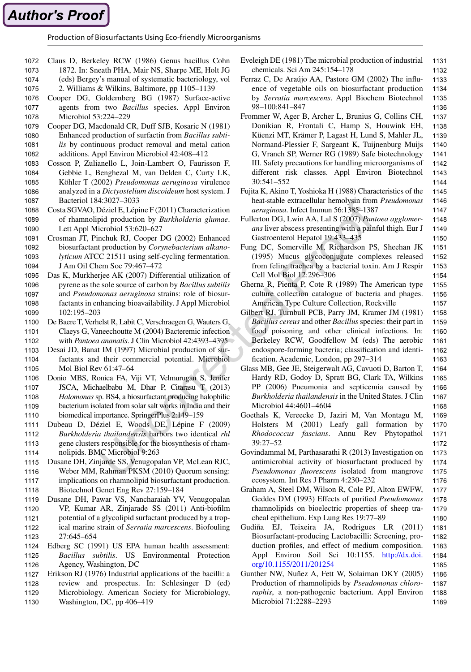<span id="page-16-0"></span>Production of Biosurfactants Using Eco-friendly Microorganisms

- Claus D, Berkeley RCW (1986) Genus bacillus Cohn 1872. In: Sneath PHA, Mair NS, Sharpe ME, Holt JG 1072 1073
- (eds) Bergey's manual of systematic bacteriology, vol 1074
- 2. Williams & Wilkins, Baltimore, pp 1105–1139 1075
- Cooper DG, Goldernberg BG (1987) Surface-active agents from two *Bacillus* species. Appl Environ 1076 1077
- Microbiol 53:224–229 Cooper DG, Macdonald CR, Duff SJB, Kosaric N (1981) Enhanced production of surfactin from *Bacillus subtilis* by continuous product removal and metal cation 1078 1079 1080 1081
- additions. Appl Environ Microbiol 42:408–412 1082
- Cosson P, Zulianello L, Join-Lambert O, Faurisson F, Gebbie L, Benghezal M, van Delden C, Curty LK, Köhler T (2002) *Pseudomonas aeruginosa* virulence analyzed in a *Dictyostelium discoideum* host system. J Bacteriol 184:3027–3033 1083 1084 1085 1086 1087
- Costa SGVAO, Déziel E, Lépine F (2011) Characterization of rhamnolipid production by *Burkholderia glumae*. Lett Appl Microbiol 53:620–627 1088 1089 1090
- Crosman JT, Pinchuk RJ, Cooper DG (2002) Enhanced biosurfactant production by *Corynebacterium alkanolyticum* ATCC 21511 using self-cycling fermentation. J Am Oil Chem Soc 79:467–472 1091 1092 1093 1094
- Das K, Murkherjee AK (2007) Differential utilization of pyrene as the sole source of carbon by *Bacillus subtilis* and *Pseudomonas aeruginosa* strains: role of biosurfactants in enhancing bioavailability. J Appl Microbiol 102:195–203 1095 1096 1097 1098 1099
- De Baere T, Verhelst R, Labit C, Verschraegen G, Wauters G, Claeys G, Vaneechoutte M (2004) Bacteremic infection with *Pantoea ananatis*. J Clin Microbiol 42:4393–4395 1100 1101 1102
- Desai JD, Banat IM (1997) Microbial production of surfactants and their commercial potential. Microbiol Mol Biol Rev 61:47–64 1103 1104 1105
- Donio MBS, Ronica FA, Viji VT, Velmurugan S, Jenifer JSCA, Michaelbabu M, Dhar P, Citarasu T (2013) *Halomonas* sp. BS4, a biosurfactant producing halophilic bacterium isolated from solar salt works in India and their biomedical importance. SpringerPlus 2:149–159 1106 1107 1108 1109 1110
- Dubeau D, Déziel E, Woods DE, Lépine F (2009) *Burkholderia thailandensis* harbors two identical *rhl* gene clusters responsible for the biosynthesis of rhamnolipids. BMC Microbiol 9:263 1111 1112 1113 1114
- Dusane DH, Zinjarde SS, Venugopalan VP, McLean RJC, Weber MM, Rahman PKSM (2010) Quorum sensing: implications on rhamnolipid biosurfactant production. Biotechnol Genet Eng Rev 27:159–184 1115 1116 1117 1118
- Dusane DH, Pawar VS, Nancharaiah YV, Venugopalan VP, Kumar AR, Zinjarade SS (2011) Anti-biofilm potential of a glycolipid surfactant produced by a tropical marine strain of *Serratia marcescens*. Biofouling 27:645–654 1119 1120 1121 1122 1123
- Edberg SC (1991) US EPA human health assessment: *Bacillus subtilis*. US Environmental Protection Agency, Washington, DC 1124 1125 1126
- Erikson RJ (1976) Industrial applications of the bacilli: a 1127
- review and prospectus. In: Schlesinger D (ed) 1128
- Microbiology. American Society for Microbiology, Washington, DC, pp 406–419 1129 1130
- Eveleigh DE (1981) The microbial production of industrial chemicals. Sci Am 245:154–178 1131 1132
- Ferraz C, De Araújo AA, Pastore GM (2002) The influence of vegetable oils on biosurfactant production by *Serratia marcescens*. Appl Biochem Biotechnol 98–100:841–847 1133 1134 1135 1136
- Frommer W, Ager B, Archer L, Brunius G, Collins CH, Donikian R, Frontali C, Hamp S, Houwink EH, Küenzi MT, Krämer P, Lagast H, Lund S, Mahler JL, Normand-Plessier F, Sargeant K, Tuijnenburg Muijs G, Vranch SP, Werner RG (1989) Safe biotechnology III. Safety precautions for handling microorganisms of different risk classes. Appl Environ Biotechnol 30:541–552 1137 1138 1139 1140 1141 1142 1143 1144
- Fujita K, Akino T, Yoshioka H (1988) Characteristics of the heat-stable extracellular hemolysin from *Pseudomonas aeruginosa*. Infect Immun 56:1385–1387 1145 1146 1147
- Fullerton DG, Lwin AA, Lal S (2007) *Pantoea agglomerans* liver abscess presenting with a painful thigh. Eur J Gastroenterol Hepatol 19:433–435 1148 1149 1150
- Fung DC, Somerville M, Richardson PS, Sheehan JK (1995) Mucus glycoconjugate complexes released from feline trachea by a bacterial toxin. Am J Respir Cell Mol Biol 12:296–306 1151 1152 1153 1154
- Gherna R, Pienta P, Cote R (1989) The American type culture collection catalogue of bacteria and phages. American Type Culture Collection, Rockville 1155 1156

1157

1169

- Gilbert RJ, Turnbull PCB, Parry JM, Kramer JM (1981) *Bacillus cereus* and other *Bacillus* species: their part in food poisoning and other clinical infections. In: Berkeley RCW, Goodfellow M (eds) The aerobic endospore-forming bacteria; classification and identification. Academic, London, pp 297–314 1158 1159 1160 1161 1162 1163
- Glass MB, Gee JE, Steigerwalt AG, Cavuoti D, Barton T, Hardy RD, Godoy D, Spratt BG, Clark TA, Wilkins PP (2006) Pneumonia and septicemia caused by *Burkholderia thailandensis* in the United States. J Clin Microbiol 44:4601–4604 1164 1165 1166 1167 1168
- Goethals K, Vereecke D, Jaziri M, Van Montagu M, Holsters M (2001) Leafy gall formation by *Rhodococcus fascians*. Annu Rev Phytopathol 39:27–52 1170 1171
- Govindammal M, Parthasarathi R (2013) Investigation on antimicrobial activity of biosurfactant produced by *Pseudomonas fluorescens* isolated from mangrove ecosystem. Int Res J Pharm 4:230–232 1173 1174 1175 1176
- Graham A, Steel DM, Wilson R, Cole PJ, Alton EWFW, Geddes DM (1993) Effects of purified *Pseudomonas* rhamnolipids on bioelectric properties of sheep tracheal epithelium. Exp Lung Res 19:77–89 1177 1178 1179 1180
- Gudiña EJ, Teixeira JA, Rodrigues LR (2011) Biosurfactant-producing Lactobacilli: Screening, production profiles, and effect of medium composition. Appl Environ Soil Sci 10:1155. [http://dx.doi.](http://dx.doi.org/10.1155/2011/201254) [org/10.1155/2011/201254](http://dx.doi.org/10.1155/2011/201254) 1181 1182 1183 1184 1185
- Gunther NW, Nuñez A, Fett W, Solaiman DKY (2005) Production of rhamnolipids by *Pseudomonas chlororaphis*, a non-pathogenic bacterium. Appl Environ Microbiol 71:2288–2293 1186 1187 1188 1189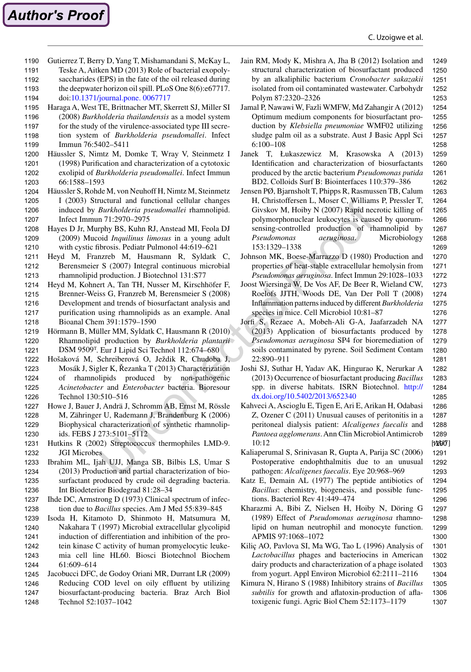- <span id="page-17-0"></span>Gutierrez T, Berry D, Yang T, Mishamandani S, McKay L, 1190
- Teske A, Aitken MD (2013) Role of bacterial exopoly-1191
- saccharides (EPS) in the fate of the oil released during the deepwater horizon oil spill. PLoS One 8(6):e67717. 1192 1193

doi:[10.1371/journal.pone. 0067717](http://dx.doi.org/10.1371/journal.pone. 0067717) 1194

- Haraga A, West TE, Brittnacher MT, Skerrett SJ, Miller SI 1195
- (2008) *Burkholderia thailandensis* as a model system 1196
- for the study of the virulence-associated type III secretion system of *Burkholderia pseudomallei*. Infect 1197 1198
- Immun 76:5402–5411 1199
- Häussler S, Nimtz M, Domke T, Wray V, Steinmetz I (1998) Purification and characterization of a cytotoxic exolipid of *Burkholderia pseudomallei*. Infect Immun 66:1588–1593 1200 1201 1202 1203
- Häussler S, Rohde M, von Neuhoff H, Nimtz M, Steinmetz I (2003) Structural and functional cellular changes induced by *Burkholderia pseudomallei* rhamnolipid. Infect Immun 71:2970–2975 1204 1205 1206 1207
- Hayes D Jr, Murphy BS, Kuhn RJ, Anstead MI, Feola DJ (2009) Mucoid *Inquilinus limosus* in a young adult with cystic fibrosis. Pediatr Pulmonol 44:619–621 1208 1209 1210
- Heyd M, Franzreb M, Hausmann R, Syldatk C, Berensmeier S (2007) Integral continuous microbial rhamnolipid production. J Biotechnol 131:S77 1211 1212 1213
- Heyd M, Kohnert A, Tan TH, Nusser M, Kirschhöfer F, Brenner-Weiss G, Franzreb M, Berensmeier S (2008) Development and trends of biosurfactant analysis and purification using rhamnolipids as an example. Anal Bioanal Chem 391:1579–1590 1214 1215 1216 1217 1218
- Hörmann B, Müller MM, Syldatk C, Hausmann R (2010) Rhamnolipid production by *Burkholderia plantarii* DSM 9509<sup>T</sup> . Eur J Lipid Sci Technol 112:674–680 1219 1220 1221
- Hošaková M, Schreiberová O, Ježdik R, Chudoba J, Mosák J, Sigler K, Řezanka T (2013) Characterization of rhamnolipids produced by non-pathogenic *Acinetobacter* and *Enterobacter* bacteria. Bioresour Technol 130:510–516 1222 1223 1224 1225 1226
- Howe J, Bauer J, Andrä J, Schromm AB, Ernst M, Rössle M, Zähringer U, Rademann J, Brandenburg K (2006) Biophysical characterization of synthetic rhamnolipids. FEBS J 273:5101–5112 1227 1228 1229 1230
- Hutkins R (2002) Streptococcus thermophiles LMD-9. JGI Microbes 1231 1232
- Ibrahim ML, Ijah UJJ, Manga SB, Bilbis LS, Umar S (2013) Production and partial characterization of biosurfactant produced by crude oil degrading bacteria. Int Biodeterior Biodegrad 81:28–34 1233 1234 1235 1236
- Ihde DC, Armstrong D (1973) Clinical spectrum of infection due to *Bacillus* species. Am J Med 55:839–845 1237 1238
- Isoda H, Kitamoto D, Shinmoto H, Matsumura M, Nakahara T (1997) Microbial extracellular glycolipid induction of differentiation and inhibition of the protein kinase C activity of human promyelocytic leukemia cell line HL60. Biosci Biotechnol Biochem 61:609–614 1239 1240 1241 1242 1243 1244
- Jacobucci DFC, de Godoy Oriani MR, Durrant LR (2009) 1245
- Reducing COD level on oily effluent by utilizing biosurfactant-producing bacteria. Braz Arch Biol Technol 52:1037–1042 1246 1247 1248
- Jain RM, Mody K, Mishra A, Jha B (2012) Isolation and structural characterization of biosurfactant produced by an alkaliphilic bacterium *Cronobacter sakazakii* isolated from oil contaminated wastewater. Carbohydr Polym 87:2320–2326 1249 1250 1251 1252 1253
- Jamal P, Nawawi W, Fazli WMFW, Md Zahangir A (2012) Optimum medium components for biosurfactant production by *Klebsiella pneumoniae* WMF02 utilizing sludge palm oil as a substrate. Aust J Basic Appl Sci 6:100–108 1254 1255 1256 1257 1258
- Janek T, Łukaszewicz M, Krasowska A (2013) Identification and characterization of biosurfactants produced by the arctic bacterium *Pseudomonas putida* BD2. Colloids Surf B: Biointerfaces 110:379–386 1259 1260 1261 1262
- Jensen PØ, Bjarnsholt T, Phipps R, Rasmussen TB, Calum H, Christoffersen L, Moser C, Williams P, Pressler T, Givskov M, Hoiby N (2007) Rapid necrotic killing of polymorphonuclear leukocytes is caused by quorumsensing-controlled production of rhamnolipid by *Pseudomonas aeruginosa*. Microbiology 153:1329–1338 1263 1264 1265 1266 1267 1268 1269
- Johnson MK, Boese-Marrazzo D (1980) Production and properties of heat-stable extracellular hemolysin from *Pseudomonas aeruginosa*. Infect Immun 29:1028–1033 1270 1271 1272
- Joost Wiersinga W, De Vos AF, De Beer R, Wieland CW, Roelofs JJTH, Woods DE, Van Der Poll T (2008) Inflammation patterns induced by different *Burkholderia* species in mice. Cell Microbiol 10:81–87 1273 1274 1275 1276
- Jorfi S, Rezaee A, Mobeh-Ali G-A, Jaafarzadeh NA (2013) Application of biosurfactants produced by *Pseudomonas aeruginosa* SP4 for bioremediation of soils contaminated by pyrene. Soil Sediment Contam 22:890–911 1277 1278 1279 1280 1281
- Joshi SJ, Suthar H, Yadav AK, Hingurao K, Nerurkar A (2013) Occurrence of biosurfactant producing *Bacillus* spp. in diverse habitats. ISRN Biotechnol. [http://](http://dx.doi.org/10.5402/2013/652340) [dx.doi.org/10.5402/2013/652340](http://dx.doi.org/10.5402/2013/652340) 1282

1283 1284 1285

1291 1292 1293

- Kahveci A, Ascioglu E, Tigen E, Ari E, Arikan H, Odabasi Z, Ozener C (2011) Unusual causes of peritonitis in a peritoneal dialysis patient: *Alcaligenes faecalis* and *Pantoea agglomerans*. Ann Clin Microbiol Antimicrob 10:12  $[1200]$ 1286 1287 1288 1289
- Kaliaperumal S, Srinivasan R, Gupta A, Parija SC (2006) Postoperative endophthalmitis due to an unusual pathogen: *Alcaligenes faecalis*. Eye 20:968–969
- Katz E, Demain AL (1977) The peptide antibiotics of *Bacillus*: chemistry, biogenesis, and possible functions. Bacteriol Rev 41:449–474 1294
- Kharazmi A, Bibi Z, Nielsen H, Hoiby N, Döring G (1989) Effect of *Pseudomonas aeruginosa* rhamnolipid on human neutrophil and monocyte function. APMIS 97:1068–1072 1297 1298 1299 1300
- Kiliç AO, Pavlova SI, Ma WG, Tao L (1996) Analysis of *Lactobacillus* phages and bacteriocins in American dairy products and characterization of a phage isolated from yogurt. Appl Environ Microbiol 62:2111–2116 1301 1302 1303 1304
- Kimura N, Hirano S (1988) Inhibitory strains of *Bacillus subtilis* for growth and aflatoxin-production of aflatoxigenic fungi. Agric Biol Chem 52:1173–1179 1305 1306 1307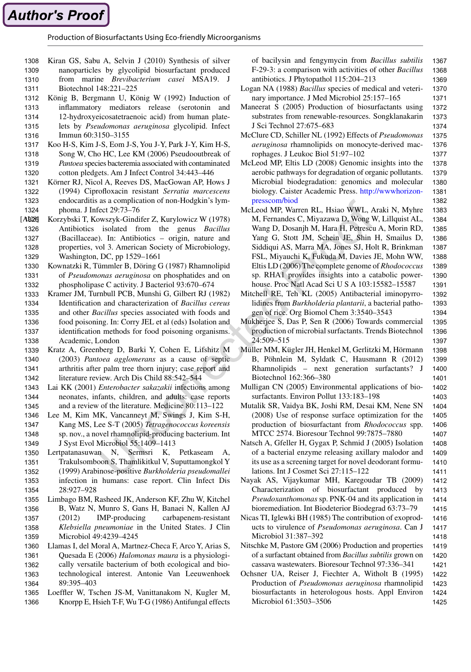<span id="page-18-0"></span>Production of Biosurfactants Using Eco-friendly Microorganisms

- Kiran GS, Sabu A, Selvin J (2010) Synthesis of silver nanoparticles by glycolipid biosurfactant produced 1308 1309
- from marine *Brevibacterium casei* MSA19. J 1310
- Biotechnol 148:221–225 1311
- König B, Bergmann U, König W (1992) Induction of inflammatory mediators release (serotonin and 12-hydroxyeicosatetraenoic acid) from human platelets by *Pseudomonas aeruginosa* glycolipid. Infect 1312 1313 1314 1315
- Immun 60:3150–3155 1316
- Koo H-S, Kim J-S, Eom J-S, You J-Y, Park J-Y, Kim H-S, Song W, Cho HC, Lee KM (2006) Pseudooutbreak of *Pantoea* species bacteremia associated with contaminated cotton pledgets. Am J Infect Control 34:443–446 1317 1318 1319 1320
- Körner RJ, Nicol A, Reeves DS, MacGowan AP, Hows J (1994) Ciprofloxacin resistant *Serratia marcescens* endocarditis as a complication of non-Hodgkin's lymphoma. J Infect 29:73–76 1321 1322 1323 1324
- Korzybski T, Kowszyk-Gindifer Z, Kurylowicz W (1978) Antibiotics isolated from the genus *Bacillus* (Bacillaceae). In: Antibiotics – origin, nature and properties, vol 3. American Society of Microbiology, Washington, DC, pp 1529–1661 [AB<sub>26</sub>] 1326 1327 1328 1329
- Kownatzki R, Tümmler B, Döring G (1987) Rhamnolipid of *Pseudomonas aeruginosa* on phosphatides and on phospholipase C activity. J Bacteriol 93:670–674 1330 1331 1332
- Kramer JM, Turnbull PCB, Munshi G, Gilbert RJ (1982) Identification and characterization of *Bacillus cereus* and other *Bacillus* species associated with foods and food poisoning. In: Corry JEL et al (eds) Isolation and identification methods for food poisoning organisms. Academic, London 1333 1334 1335 1336 1337 1338
- Kratz A, Greenberg D, Barki Y, Cohen E, Lifshitz M (2003) *Pantoea agglomerans* as a cause of septic arthritis after palm tree thorn injury; case report and literature review. Arch Dis Child 88:542–544 1339 1340 1341 1342
- Lai KK (2001) *Enterobacter sakazakii* infections among neonates, infants, children, and adults: case reports and a review of the literature. Medicine 80:113–122 1343 1344 1345
- Lee M, Kim MK, Vancanneyt M, Swings J, Kim S-H, Kang MS, Lee S-T (2005) *Tetragenococcus koreensis* sp. nov., a novel rhamnolipid-producing bacterium. Int J Syst Evol Microbiol 55:1409–1413 1346 1347 1348 1349
- Lertpatanasuwan N, Sermsri K, Petkaseam A, Trakulsomboon S, Thamlikitkul V, Suputtamongkol Y (1999) Arabinose-positive *Burkholderia pseudomallei* infection in humans: case report. Clin Infect Dis 28:927–928 1350 1351 1352 1353 1354
- Limbago BM, Rasheed JK, Anderson KF, Zhu W, Kitchel B, Watz N, Munro S, Gans H, Banaei N, Kallen AJ (2012) IMP-producing carbapenem-resistant *Klebsiella pneumoniae* in the United States. J Clin Microbiol 49:4239–4245 1355 1356 1357 1358 1359
- Llamas I, del Moral A, Martnez-Checa F, Arco Y, Arias S, Quesada E (2006) *Halomonas maura* is a physiologically versatile bacterium of both ecological and biotechnological interest. Antonie Van Leeuwenhoek 89:395–403 1360 1361 1362 1363 1364
- Loeffler W, Tschen JS-M, Vanittanakom N, Kugler M, Knorpp E, Hsieh T-F, Wu T-G (1986) Antifungal effects 1365 1366

of bacilysin and fengymycin from *Bacillus subtilis* F-29-3: a comparison with activities of other *Bacillus* antibiotics. J Phytopathol 115:204–213 1367 1368 1369

- Logan NA (1988) *Bacillus* species of medical and veterinary importance. J Med Microbiol 25:157–165 1370 1371
- Maneerat S (2005) Production of biosurfactants using substrates from renewable-resources. Songklanakarin J Sci Technol 27:675–683 1372 1373 1374
- McClure CD, Schiller NL (1992) Effects of *Pseudomonas aeruginosa* rhamnolipids on monocyte-derived macrophages. J Leukoc Biol 51:97–102 1375 1376 1377
- McLeod MP, Eltis LD (2008) Genomic insights into the aerobic pathways for degradation of organic pollutants. Microbial biodegradation: genomics and molecular biology. Caister Academic Press. [http://wwwhorizon](http://wwwhorizonpresscom/biod)[presscom/biod](http://wwwhorizonpresscom/biod) 1378 1379 1380 1381 1382
- McLeod MP, Warren RL, Hsiao WWL, Araki N, Myhre M, Fernandes C, Miyazawa D, Wong W, Lillquist AL, Wang D, Dosanjh M, Hara H, Petrescu A, Morin RD, Yang G, Stott JM, Schein JE, Shin H, Smailus D, Siddiqui AS, Marra MA, Jones SJ, Holt R, Brinkman FSL, Miyauchi K, Fukuda M, Davies JE, Mohn WW, Eltis LD (2006) The complete genome of *Rhodococcus* sp. RHA1 provides insights into a catabolic powerhouse. Proc Natl Acad Sci U S A 103:15582–15587 1383 1384 1385 1386 1387 1388 1389 1390 1391
- Mitchell RE, Teh KL (2005) Antibacterial iminopyrrolidines from *Burkholderia plantarii*, a bacterial pathogen of rice. Org Biomol Chem 3:3540–3543 1392

1393 1394 1395

1397

- Mukherjee S, Das P, Sen R (2006) Towards commercial production of microbial surfactants. Trends Biotechnol 24:509–515 1396
- Müller MM, Kügler JH, Henkel M, Gerlitzki M, Hörmann B, Pöhnlein M, Syldatk C, Hausmann R (2012) Rhamnolipids – next generation surfactants? J Biotechnol 162:366–380 1398 1399 1400 1401
- Mulligan CN (2005) Environmental applications of biosurfactants. Environ Pollut 133:183–198
- Mutalik SR, Vaidya BK, Joshi RM, Desai KM, Nene SN (2008) Use of response surface optimization for the production of biosurfactant from *Rhodococcus* spp. MTCC 2574. Bioresour Technol 99:7875–7880
- Natsch A, Gfeller H, Gygax P, Schmid J (2005) Isolation of a bacterial enzyme releasing axillary malodor and its use as a screening target for novel deodorant formulations. Int J Cosmet Sci 27:115–122 1408 1409 1410 1411
- Nayak AS, Vijaykumar MH, Karegoudar TB (2009) Characterization of biosurfactant produced by *Pseudoxanthomonas* sp. PNK-04 and its application in bioremediation. Int Biodeterior Biodegrad 63:73–79 1412 1413 1414 1415
- Nicas TI, Iglewki BH (1985) The contribution of exoproducts to virulence of *Pseudomonas aeruginosa*. Can J Microbiol 31:387–392 1416 1417 1418
- Nitschke M, Pastore GM (2006) Production and properties of a surfactant obtained from *Bacillus subtilis* grown on cassava wastewaters. Bioresour Technol 97:336–341 1419 1420 1421
- Ochsner UA, Reiser J, Fiechter A, Witholt B (1995) Production of *Pseudomonas aeruginosa* rhamnolipid biosurfactants in heterologous hosts. Appl Environ Microbiol 61:3503–3506 1422 1423 1424 1425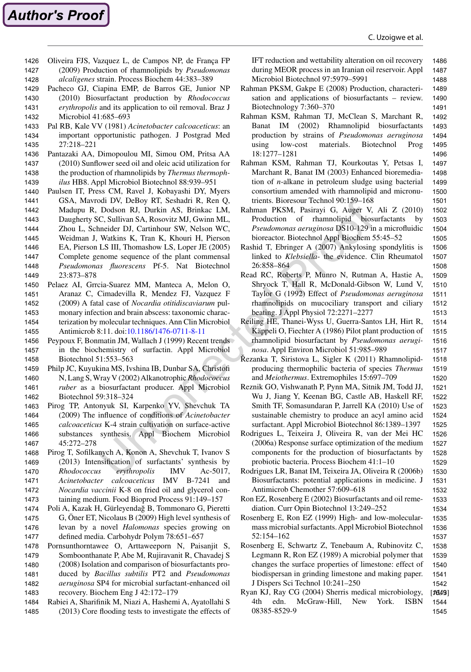Oliveira FJS, Vazquez L, de Campos NP, de França FP (2009) Production of rhamnolipids by *Pseudomonas alcaligenes* strain. Process Biochem 44:383–389 1426 1427 1428

<span id="page-19-0"></span>**Author's Proof** 

- Pacheco GJ, Ciapina EMP, de Barros GE, Junior NP (2010) Biosurfactant production by *Rhodococcus erythropolis* and its application to oil removal. Braz J Microbiol 41:685–693 1429 1430 1431 1432
- Pal RB, Kale VV (1981) *Acinetobacter calcoaceticus*: an important opportunistic pathogen. J Postgrad Med 27:218–221 1433 1434 1435
- Pantazaki AA, Dimopoulou MI, Simou OM, Pritsa AA (2010) Sunflower seed oil and oleic acid utilization for the production of rhamnolipids by *Thermus thermophilus* HB8. Appl Microbiol Biotechnol 88:939–951 1436 1437 1438 1439
- Paulsen IT, Press CM, Ravel J, Kobayashi DY, Myers GSA, Mavrodi DV, DeBoy RT, Seshadri R, Ren Q, Madupu R, Dodson RJ, Durkin AS, Brinkac LM, 1440 1441 1442
- Daugherty SC, Sullivan SA, Rosovitz MJ, Gwinn ML, 1443
- Zhou L, Schneider DJ, Cartinhour SW, Nelson WC, 1444
- Weidman J, Watkins K, Tran K, Khouri H, Pierson 1445
- EA, Pierson LS III, Thomashow LS, Loper JE (2005) 1446 1447
- Complete genome sequence of the plant commensal *Pseudomonas fluorescens* Pf-5. Nat Biotechnol 1448
- 23:873–878 1449
- Pelaez AI, Grrcia-Suarez MM, Manteca A, Melon O, Aranaz C, Cimadevilla R, Mendez FJ, Vazquez F (2009) A fatal case of *Nocardia otitidiscaviarum* pulmonary infection and brain abscess: taxonomic characterization by molecular techniques. Ann Clin Microbiol Antimicrob 8:11. doi[:10.1186/1476-0711-8-11](http://dx.doi.org/10.1186/1476-0711-8-11) 1450 1451 1452 1453 1454 1455
- Peypoux F, Bonmatin JM, Wallach J (1999) Recent trends in the biochemistry of surfactin. Appl Microbiol 1456 1457
- Biotechnol 51:553–563 Philp JC, Kuyukina MS, Ivshina IB, Dunbar SA, Christofi 1458 1459
- N, Lang S, Wray V (2002) Alkanotrophic *Rhodococcus ruber* as a biosurfactant producer. Appl Microbiol Biotechnol 59:318–324 1460 1461 1462
- Pirog TP, Antonyuk SI, Karpenko YV, Shevchuk TA (2009) The influence of conditions of *Acinetobacter calcoaceticus* K-4 strain cultivation on surface-active substances synthesis. Appl Biochem Microbiol 45:272–278 1463 1464 1465 1466 1467
- Pirog T, Sofilkanych A, Konon A, Shevchuk T, Ivanov S (2013) Intensification of surfactants' synthesis by *Rhodococcus erythropolis* IMV Ac-5017, *Acinetobacter calcoaceticus* IMV B-7241 and *Nocardia vaccinii* K-8 on fried oil and glycerol containing medium. Food Bioprod Process 91:149–157 1468 1469 1470 1471 1472 1473
- Poli A, Kazak H, Gürleyendağ B, Tommonaro G, Pieretti G, Öner ET, Nicolaus B (2009) High level synthesis of levan by a novel *Halomonas* species growing on 1474 1475 1476
- defined media. Carbohydr Polym 78:651–657 Pornsunthorntawee O, Arttaweeporn N, Paisanjit S, 1477 1478
- Somboonthanate P, Abe M, Rujiravanit R, Chavadej S (2008) Isolation and comparison of biosurfactants produced by *Bacillus subtilis* PT2 and *Pseudomonas aeruginosa* SP4 for microbial surfactant-enhanced oil recovery. Biochem Eng J 42:172–179 1479 1480 1481 1482 1483
- Rabiei A, Sharifinik M, Niazi A, Hashemi A, Ayatollahi S (2013) Core flooding tests to investigate the effects of 1484 1485

IFT reduction and wettability alteration on oil recovery during MEOR process in an Iranian oil reservoir. Appl Microbiol Biotechnol 97:5979–5991 1486 1487 1488

- Rahman PKSM, Gakpe E (2008) Production, characterisation and applications of biosurfactants – review. Biotechnology 7:360–370 1489 1490 1491
- Rahman KSM, Rahman TJ, McClean S, Marchant R, Banat IM (2002) Rhamnolipid biosurfactants production by strains of *Pseudomonas aeruginosa* using low-cost materials. Biotechnol Prog 18:1277–1281 1492 1493 1494 1495 1496
- Rahman KSM, Rahman TJ, Kourkoutas Y, Petsas I, Marchant R, Banat IM (2003) Enhanced bioremediation of *n*-alkane in petroleum sludge using bacterial consortium amended with rhamnolipid and micronutrients. Bioresour Technol 90:159–168 1497 1498 1499 1500 1501
- Rahman PKSM, Pasirayi G, Auger V, Ali Z (2010) Production of rhamnolipid biosurfactants by *Pseudomonas aeruginosa* DS10-129 in a microfluidic bioreactor. Biotechnol Appl Biochem 55:45–52 1502 1503 1504 1505
- Rashid T, Ebringer A (2007) Ankylosing spondylitis is linked to *Klebsiella*- the evidence. Clin Rheumatol 26:858–864 1506 1507 1508
- Read RC, Roberts P, Munro N, Rutman A, Hastie A, Shryock T, Hall R, McDonald-Gibson W, Lund V, Taylor G (1992) Effect of *Pseudomonas aeruginosa* rhamnolipids on mucociliary transport and ciliary beating. J Appl Physiol 72:2271–2277 1509 1510 1511 1512 1513
- Reiling HE, Thanei-Wyss U, Guerra-Santos LH, Hirt R, Käppeli O, Fiechter A (1986) Pilot plant production of rhamnolipid biosurfactant by *Pseudomonas aeruginosa*. Appl Environ Microbiol 51:985–989 1514 1515 1516 1517
- Řezanka T, Siristova L, Sigler K (2011) Rhamnolipidproducing thermophilic bacteria of species *Thermus* and *Meiothermus*. Extremophiles 15:697–709 1518 1519 1520
- Reznik GO, Vishwanath P, Pynn MA, Sitnik JM, Todd JJ, Wu J, Jiang Y, Keenan BG, Castle AB, Haskell RF, Smith TF, Somasundaran P, Jarrell KA (2010) Use of sustainable chemistry to produce an acyl amino acid surfactant. Appl Microbiol Biotechnol 86:1389–1397 1521 1522 1523 1524 1525
- Rodrigues L, Teixeira J, Oliveira R, van der Mei HC (2006a) Response surface optimization of the medium components for the production of biosurfactants by probiotic bacteria. Process Biochem 41:1–10 1526 1527 1528 1529
- Rodrigues LR, Banat IM, Teixeira JA, Oliveira R (2006b) Biosurfactants: potential applications in medicine. J Antimicrob Chemother 57:609–618 1530 1531 1532
- Ron EZ, Rosenberg E (2002) Biosurfactants and oil remediation. Curr Opin Biotechnol 13:249–252 1533 1534
- Rosenberg E, Ron EZ (1999) High- and low-molecularmass microbial surfactants. Appl Microbiol Biotechnol 52:154–162 1535 1536 1537
- Rosenberg E, Schwartz Z, Tenebaum A, Rubinovitz C, Legmann R, Ron EZ (1989) A microbial polymer that changes the surface properties of limestone: effect of biodispersan in grinding limestone and making paper. J Dispers Sci Technol 10:241–250 1538 1539 1540 1541 1542
- Ryan KJ, Ray CG (2004) Sherris medical microbiology, 4th edn. McGraw-Hill, New York. ISBN 08385-8529-9 [1649] 1544 1545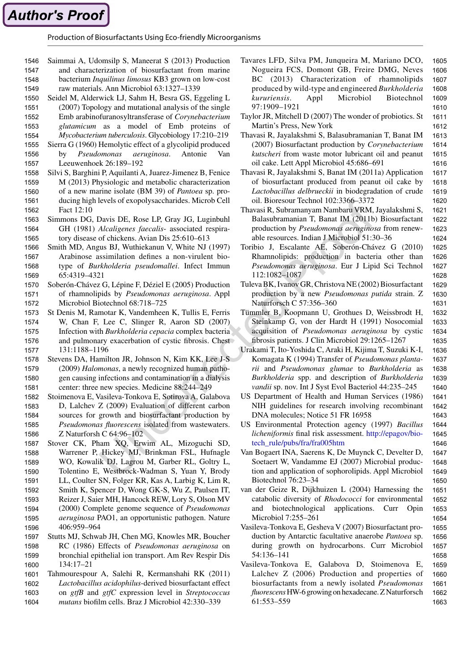<span id="page-20-0"></span>Production of Biosurfactants Using Eco-friendly Microorganisms

- Saimmai A, Udomsilp S, Maneerat S (2013) Production and characterization of biosurfactant from marine bacterium *Inquilinus limosus* KB3 grown on low-cost 1546 1547 1548
- raw materials. Ann Microbiol 63:1327–1339 1549
- Seidel M, Alderwick LJ, Sahm H, Besra GS, Eggeling L (2007) Topology and mutational analysis of the single 1550 1551
- Emb arabinofuranosyltransferase of *Corynebacterium glutamicum* as a model of Emb proteins of 1552 1553
- *Mycobacterium tuberculosis*. Glycobiology 17:210–219 1554
- Sierra G (1960) Hemolytic effect of a glycolipid produced by *Pseudomonas aeruginosa*. Antonie Leeuwenhoek 26:189–192 1555 1556 1557
- Silvi S, Barghini P, Aquilanti A, Juarez-Jimenez B, Fenice M (2013) Physiologic and metabolic characterization of a new marine isolate (BM 39) of *Pantoea* sp. producing high levels of exopolysaccharides. Microb Cell Fact 12:10 1558 1559 1560 1561 1562
- Simmons DG, Davis DE, Rose LP, Gray JG, Luginbuhl GH (1981) *Alcaligenes faecalis*- associated respiratory disease of chickens. Avian Dis 25:610–613 1563 1564 1565
- Smith MD, Angus BJ, Wuthiekanun V, White NJ (1997) Arabinose assimilation defines a non-virulent biotype of *Burkholderia pseudomallei*. Infect Immun 65:4319–4321 1566 1567 1568 1569
- Soberón-Chávez G, Lépine F, Déziel E (2005) Production of rhamnolipids by *Pseudomonas aeruginosa*. Appl Microbiol Biotechnol 68:718–725 1570 1571 1572
- St Denis M, Ramotar K, Vandemheen K, Tullis E, Ferris W, Chan F, Lee C, Slinger R, Aaron SD (2007) Infection with *Burkholderia cepacia* complex bacteria and pulmonary exacerbation of cystic fibrosis. Chest 131:1188–1196 1573 1574 1575 1576 1577
- Stevens DA, Hamilton JR, Johnson N, Kim KK, Lee J-S (2009) *Halomonas*, a newly recognized human pathogen causing infections and contamination in a dialysis center: three new species. Medicine 88:244–249 1578 1579 1580 1581
- Stoimenova E, Vasileva-Tonkova E, Sotirova A, Galabova D, Lalchev Z (2009) Evaluation of different carbon sources for growth and biosurfactant production by *Pseudomonas fluorescens* isolated from wastewaters. Z Naturforsh C 64:96–102 1582 1583 1584 1585 1586
- Stover CK, Pham XQ, Erwim AL, Mizoguchi SD, Warrener P, Hickey MJ, Brinkman FSL, Hufnagle WO, Kowalik DJ, Lagrou M, Garber RL, Goltry L, Tolentino E, Westbrock-Wadman S, Yuan Y, Brody LL, Coulter SN, Folger KR, Kas A, Larbig K, Lim R, Smith K, Spencer D, Wong GK-S, Wu Z, Paulsen IT, 1587 1588 1589 1590 1591 1592
- Reizer J, Saier MH, Hancock REW, Lory S, Olson MV 1593
- (2000) Complete genome sequence of *Pseudomonas aeruginosa* PAO1, an opportunistic pathogen. Nature 406:959–964 1594 1595 1596
- Stutts MJ, Schwab JH, Chen MG, Knowles MR, Boucher RC (1986) Effects of *Pseudomonas aeruginosa* on bronchial epithelial ion transport. Am Rev Respir Dis 134:17–21 1597 1598 1599 1600
- Tahmourespour A, Salehi R, Kermanshahi RK (2011) *Lactobacillus acidophilus*-derived biosurfactant effect on *gtfB* and *gtfC* expression level in *Streptococcus mutans* biofilm cells. Braz J Microbiol 42:330–339 1601 1602 1603 1604
- Tavares LFD, Silva PM, Junqueira M, Mariano DCO, Nogueira FCS, Domont GB, Freire DMG, Neves BC (2013) Characterization of rhamnolipids produced by wild-type and engineered *Burkholderia kururiensis*. Appl Microbiol Biotechnol 97:1909–1921 1605 1606 1607 1608 1609 1610
- Taylor JR, Mitchell D (2007) The wonder of probiotics. St Martin's Press, New York 1611 1612
- Thavasi R, Jayalakshmi S, Balasubramanian T, Banat IM (2007) Biosurfactant production by *Corynebacterium kutscheri* from waste motor lubricant oil and peanut oil cake. Lett Appl Microbiol 45:686–691 1613 1614 1615 1616
- Thavasi R, Jayalakshmi S, Banat IM (2011a) Application of biosurfactant produced from peanut oil cake by *Lactobacillus delbrueckii* in biodegradation of crude oil. Bioresour Technol 102:3366–3372 1617 1618 1619 1620
- Thavasi R, Subramanyam Nambaru VRM, Jayalakshmi S, Balasubramanian T, Banat IM (2011b) Biosurfactant production by *Pseudomonas aeruginosa* from renewable resources. Indian J Microbiol 51:30–36 1621 1622 1623 1624
- Toribio J, Escalante AE, Soberón-Chávez G (2010) Rhamnolipids: production in bacteria other than *Pseudomonas aeruginosa*. Eur J Lipid Sci Technol 112:1082–1087 1625 1626 1627 1628
- Tuleva BK, Ivanov GR, Christova NE (2002) Biosurfactant production by a new *Pseudomonas putida* strain. Z Naturforsch C 57:356–360 1629 1630 1631

1650

- Tümmler B, Koopmann U, Grothues D, Weissbrodt H, Steinkamp G, von der Hardt H (1991) Nosocomial acquisition of *Pseudomonas aeruginosa* by cystic fibrosis patients. J Clin Microbiol 29:1265–1267
- Urakami T, Ito-Yoshida C, Araki H, Kijima T, Suzuki K-I, Komagata K (1994) Transfer of *Pseudomonas plantarii* and *Pseudomonas glumae* to *Burkholderia* as *Burkholderia* spp. and description of *Burkholderia vandii* sp. nov. Int J Syst Evol Bacteriol 44:235–245 1636 1637 1638 1639 1640
- US Department of Health and Human Services (1986) NIH guidelines for research involving recombinant DNA molecules; Notice 51 FR 16958
- US Environmental Protection agency (1997) *Bacillus licheniformis* final risk assessment. [http://epagov/bio](http://epagov/biotech_rule/pubs/fra/fra005htm)[tech\\_rule/pubs/fra/fra005htm](http://epagov/biotech_rule/pubs/fra/fra005htm)
- Van Bogaert INA, Saerens K, De Muynck C, Develter D, Soetaert W, Vandamme EJ (2007) Microbial production and application of sophorolipids. Appl Microbiol Biotechnol 76:23–34 1649
- van der Geize R, Dijkhuizen L (2004) Harnessing the catabolic diversity of *Rhodococci* for environmental and biotechnological applications. Curr Opin Microbiol 7:255–261 1651 1652 1653 1654
- Vasileva-Tonkova E, Gesheva V (2007) Biosurfactant production by Antarctic facultative anaerobe *Pantoea* sp. during growth on hydrocarbons. Curr Microbiol 54:136–141
- Vasileva-Tonkova E, Galabova D, Stoimenova E, Lalchev Z (2006) Production and properties of biosurfactants from a newly isolated *Pseudomonas fluorescens* HW-6 growing on hexadecane. Z Naturforsch 61:553–559 1659 1660 1661 1662 1663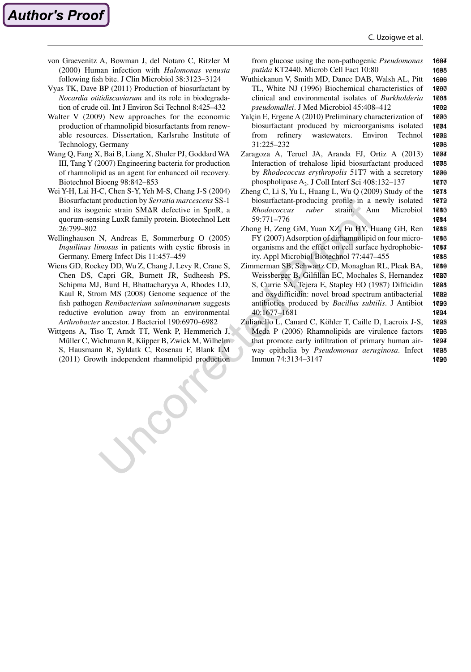1681

von Graevenitz A, Bowman J, del Notaro C, Ritzler M (2000) Human infection with *Halomonas venusta* following fish bite. J Clin Microbiol 38:3123–3124

<span id="page-21-0"></span>**Author's Proof** 

- Vyas TK, Dave BP (2011) Production of biosurfactant by *Nocardia otitidiscaviarum* and its role in biodegradation of crude oil. Int J Environ Sci Technol 8:425–432
- Walter V (2009) New approaches for the economic production of rhamnolipid biosurfactants from renewable resources. Dissertation, Karlsruhe Institute of Technology, Germany
- Wang Q, Fang X, Bai B, Liang X, Shuler PJ, Goddard WA III, Tang Y (2007) Engineering bacteria for production of rhamnolipid as an agent for enhanced oil recovery. Biotechnol Bioeng 98:842–853
- Wei Y-H, Lai H-C, Chen S-Y, Yeh M-S, Chang J-S (2004) Biosurfactant production by *Serratia marcescens* SS-1 and its isogenic strain SMΔR defective in SpnR, a quorum-sensing LuxR family protein. Biotechnol Lett 26:799–802
- Wellinghausen N, Andreas E, Sommerburg O (2005) *Inquilinus limosus* in patients with cystic fibrosis in Germany. Emerg Infect Dis 11:457–459
- Wiens GD, Rockey DD, Wu Z, Chang J, Levy R, Crane S, Chen DS, Capri GR, Burnett JR, Sudheesh PS, Schipma MJ, Burd H, Bhattacharyya A, Rhodes LD, Kaul R, Strom MS (2008) Genome sequence of the fish pathogen *Renibacterium salmoninarum* suggests reductive evolution away from an environmental *Arthrobacter* ancestor. J Bacteriol 190:6970–6982
- Wittgens A, Tiso T, Arndt TT, Wenk P, Hemmerich J, Müller C, Wichmann R, Küpper B, Zwick M, Wilhelm S, Hausmann R, Syldatk C, Rosenau F, Blank LM (2011) Growth independent rhamnolipid production

from glucose using the non-pathogenic *Pseudomonas putida* KT2440. Microb Cell Fact 10:80 1664 1665

- Wuthiekanun V, Smith MD, Dance DAB, Walsh AL, Pitt TL, White NJ (1996) Biochemical characteristics of clinical and environmental isolates of *Burkholderia pseudomallei*. J Med Microbiol 45:408–412 1666 1667 1668 1669
- Yalçin E, Ergene A (2010) Preliminary characterization of biosurfactant produced by microorganisms isolated from refinery wastewaters. Environ Technol 31:225–232 1*600* 1604 1608 1608
- Zaragoza A, Teruel JA, Aranda FJ, Ortiz A (2013) Interaction of trehalose lipid biosurfactant produced by *Rhodococcus erythropolis* 51T7 with a secretory phospholipase A2. J Coll Interf Sci 408:132–137 1674 1608 1676 1677
- Zheng C, Li S, Yu L, Huang L, Wu Q (2009) Study of the biosurfactant-producing profile in a newly isolated *Rhodococcus ruber* strain. Ann Microbiol 59:771–776 1678 1679 1680
- Zhong H, Zeng GM, Yuan XZ, Fu HY, Huang GH, Ren FY (2007) Adsorption of dirhamnolipid on four microorganisms and the effect on cell surface hydrophobicity. Appl Microbiol Biotechnol 77:447–455 1682 1686 1684 1685
- Zimmerman SB, Schwartz CD, Monaghan RL, Pleak BA, Weissberger B, Gilfillan EC, Mochales S, Hernandez S, Currie SA, Tejera E, Stapley EO (1987) Difficidin and oxydifficidin: novel broad spectrum antibacterial antibiotics produced by *Bacillus subtilis*. J Antibiot 40:1677–1681 1686 1687 1688 1689 1690 1691
- Zulianello L, Canard C, Köhler T, Caille D, Lacroix J-S, Meda P (2006) Rhamnolipids are virulence factors that promote early infiltration of primary human airway epithelia by *Pseudomonas aeruginosa*. Infect Immun 74:3134–3147 1692 1696 1694 1695 1696 169716981699170017011702170317041705170617071708170917101711171217131714171517161717171817191720172117221723172417251726172717281729